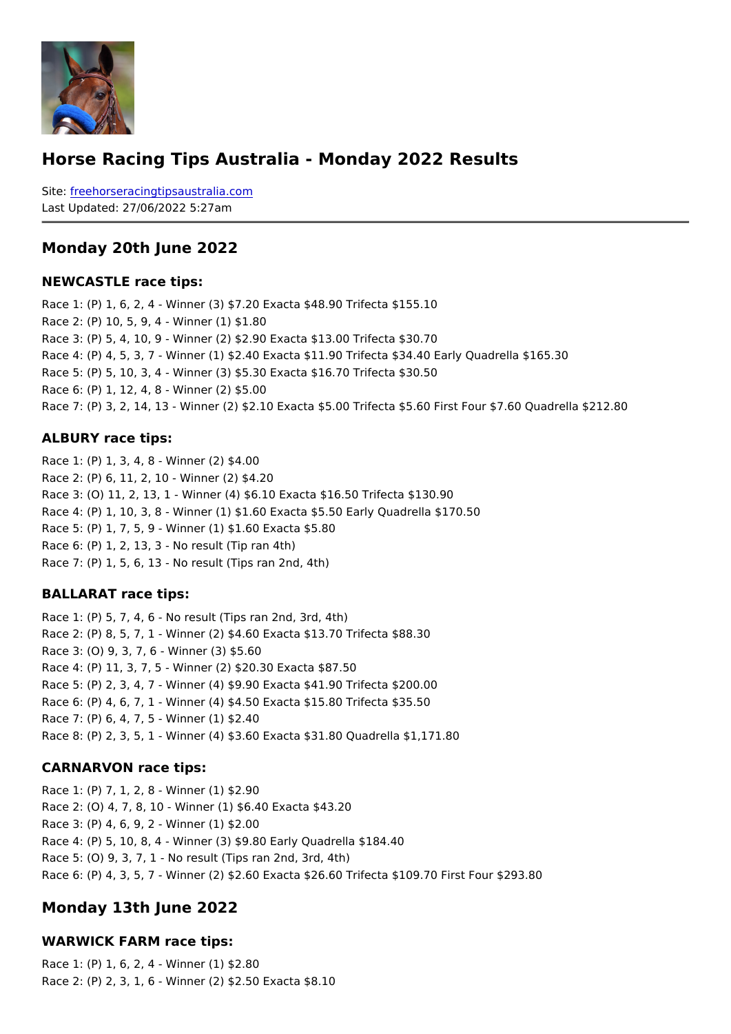#### Horse Racing Tips Australia - Monday 2022 Results

Sitefreehorseracingtipsaustralia.com Last Updated: 27/06/2022 5:27am

Monday 20th June 2022

NEWCASTLE race tips:

Race 1: (P) 1, 6, 2, 4 - Winner (3) \$7.20 Exacta \$48.90 Trifecta \$155.10 Race 2: (P) 10, 5, 9, 4 - Winner (1) \$1.80 Race 3: (P) 5, 4, 10, 9 - Winner (2) \$2.90 Exacta \$13.00 Trifecta \$30.70 Race 4: (P) 4, 5, 3, 7 - Winner (1) \$2.40 Exacta \$11.90 Trifecta \$34.40 Early Quadrella Race 5: (P) 5, 10, 3, 4 - Winner (3) \$5.30 Exacta \$16.70 Trifecta \$30.50 Race 6: (P) 1, 12, 4, 8 - Winner (2) \$5.00 Race 7: (P) 3, 2, 14, 13 - Winner (2) \$2.10 Exacta \$5.00 Trifecta \$5.60 First Four \$7.6

ALBURY race tips:

Race 1: (P) 1, 3, 4, 8 - Winner (2) \$4.00 Race 2: (P) 6, 11, 2, 10 - Winner (2) \$4.20 Race 3: (O) 11, 2, 13, 1 - Winner (4) \$6.10 Exacta \$16.50 Trifecta \$130.90 Race 4: (P) 1, 10, 3, 8 - Winner (1) \$1.60 Exacta \$5.50 Early Quadrella \$170.50 Race 5: (P) 1, 7, 5, 9 - Winner (1) \$1.60 Exacta \$5.80 Race 6: (P) 1, 2, 13, 3 - No result (Tip ran 4th) Race 7: (P) 1, 5, 6, 13 - No result (Tips ran 2nd, 4th)

BALLARAT race tips:

Race 1: (P) 5, 7, 4, 6 - No result (Tips ran 2nd, 3rd, 4th) Race 2: (P) 8, 5, 7, 1 - Winner (2) \$4.60 Exacta \$13.70 Trifecta \$88.30 Race 3: (O) 9, 3, 7, 6 - Winner (3) \$5.60 Race 4: (P) 11, 3, 7, 5 - Winner (2) \$20.30 Exacta \$87.50 Race 5: (P) 2, 3, 4, 7 - Winner (4) \$9.90 Exacta \$41.90 Trifecta \$200.00 Race 6: (P) 4, 6, 7, 1 - Winner (4) \$4.50 Exacta \$15.80 Trifecta \$35.50 Race 7: (P) 6, 4, 7, 5 - Winner (1) \$2.40 Race 8: (P) 2, 3, 5, 1 - Winner (4) \$3.60 Exacta \$31.80 Quadrella \$1,171.80

CARNARVON race tips:

Race 1: (P) 7, 1, 2, 8 - Winner (1) \$2.90 Race 2: (O) 4, 7, 8, 10 - Winner (1) \$6.40 Exacta \$43.20 Race 3: (P) 4, 6, 9, 2 - Winner (1) \$2.00 Race 4: (P) 5, 10, 8, 4 - Winner (3) \$9.80 Early Quadrella \$184.40 Race 5: (O) 9, 3, 7, 1 - No result (Tips ran 2nd, 3rd, 4th) Race 6: (P) 4, 3, 5, 7 - Winner (2) \$2.60 Exacta \$26.60 Trifecta \$109.70 First Four \$29

Monday 13th June 2022

WARWICK FARM race tips: Race 1: (P) 1, 6, 2, 4 - Winner (1) \$2.80 Race 2: (P) 2, 3, 1, 6 - Winner (2) \$2.50 Exacta \$8.10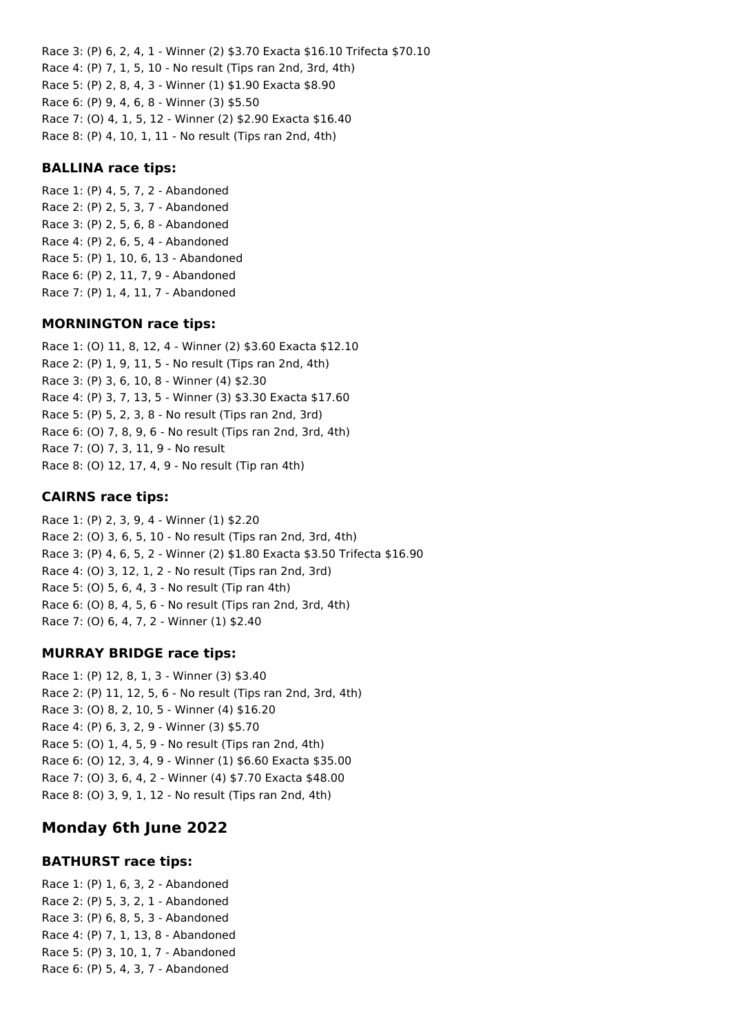Race 3: (P) 6, 2, 4, 1 - Winner (2) \$3.70 Exacta \$16.10 Trifecta \$70.10 Race 4: (P) 7, 1, 5, 10 - No result (Tips ran 2nd, 3rd, 4th) Race 5: (P) 2, 8, 4, 3 - Winner (1) \$1.90 Exacta \$8.90 Race 6: (P) 9, 4, 6, 8 - Winner (3) \$5.50 Race 7: (O) 4, 1, 5, 12 - Winner (2) \$2.90 Exacta \$16.40 Race 8: (P) 4, 10, 1, 11 - No result (Tips ran 2nd, 4th)

### **BALLINA race tips:**

Race 1: (P) 4, 5, 7, 2 - Abandoned Race 2: (P) 2, 5, 3, 7 - Abandoned Race 3: (P) 2, 5, 6, 8 - Abandoned Race 4: (P) 2, 6, 5, 4 - Abandoned Race 5: (P) 1, 10, 6, 13 - Abandoned Race 6: (P) 2, 11, 7, 9 - Abandoned Race 7: (P) 1, 4, 11, 7 - Abandoned

### **MORNINGTON race tips:**

Race 1: (O) 11, 8, 12, 4 - Winner (2) \$3.60 Exacta \$12.10 Race 2: (P) 1, 9, 11, 5 - No result (Tips ran 2nd, 4th) Race 3: (P) 3, 6, 10, 8 - Winner (4) \$2.30 Race 4: (P) 3, 7, 13, 5 - Winner (3) \$3.30 Exacta \$17.60 Race 5: (P) 5, 2, 3, 8 - No result (Tips ran 2nd, 3rd) Race 6: (O) 7, 8, 9, 6 - No result (Tips ran 2nd, 3rd, 4th) Race 7: (O) 7, 3, 11, 9 - No result Race 8: (O) 12, 17, 4, 9 - No result (Tip ran 4th)

# **CAIRNS race tips:**

Race 1: (P) 2, 3, 9, 4 - Winner (1) \$2.20 Race 2: (O) 3, 6, 5, 10 - No result (Tips ran 2nd, 3rd, 4th) Race 3: (P) 4, 6, 5, 2 - Winner (2) \$1.80 Exacta \$3.50 Trifecta \$16.90 Race 4: (O) 3, 12, 1, 2 - No result (Tips ran 2nd, 3rd) Race 5: (O) 5, 6, 4, 3 - No result (Tip ran 4th) Race 6: (O) 8, 4, 5, 6 - No result (Tips ran 2nd, 3rd, 4th) Race 7: (O) 6, 4, 7, 2 - Winner (1) \$2.40

# **MURRAY BRIDGE race tips:**

Race 1: (P) 12, 8, 1, 3 - Winner (3) \$3.40 Race 2: (P) 11, 12, 5, 6 - No result (Tips ran 2nd, 3rd, 4th) Race 3: (O) 8, 2, 10, 5 - Winner (4) \$16.20 Race 4: (P) 6, 3, 2, 9 - Winner (3) \$5.70 Race 5: (O) 1, 4, 5, 9 - No result (Tips ran 2nd, 4th) Race 6: (O) 12, 3, 4, 9 - Winner (1) \$6.60 Exacta \$35.00 Race 7: (O) 3, 6, 4, 2 - Winner (4) \$7.70 Exacta \$48.00 Race 8: (O) 3, 9, 1, 12 - No result (Tips ran 2nd, 4th)

# **Monday 6th June 2022**

# **BATHURST race tips:**

Race 1: (P) 1, 6, 3, 2 - Abandoned Race 2: (P) 5, 3, 2, 1 - Abandoned Race 3: (P) 6, 8, 5, 3 - Abandoned Race 4: (P) 7, 1, 13, 8 - Abandoned Race 5: (P) 3, 10, 1, 7 - Abandoned Race 6: (P) 5, 4, 3, 7 - Abandoned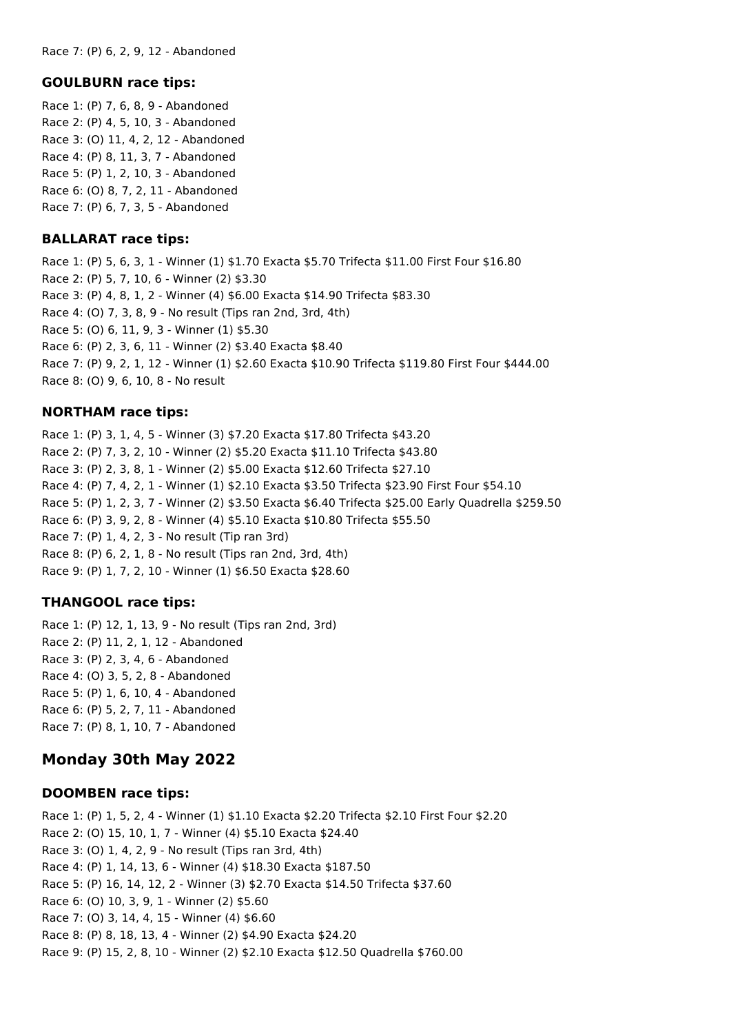Race 7: (P) 6, 2, 9, 12 - Abandoned

#### **GOULBURN race tips:**

Race 1: (P) 7, 6, 8, 9 - Abandoned Race 2: (P) 4, 5, 10, 3 - Abandoned Race 3: (O) 11, 4, 2, 12 - Abandoned Race 4: (P) 8, 11, 3, 7 - Abandoned Race 5: (P) 1, 2, 10, 3 - Abandoned Race 6: (O) 8, 7, 2, 11 - Abandoned Race 7: (P) 6, 7, 3, 5 - Abandoned

### **BALLARAT race tips:**

Race 1: (P) 5, 6, 3, 1 - Winner (1) \$1.70 Exacta \$5.70 Trifecta \$11.00 First Four \$16.80 Race 2: (P) 5, 7, 10, 6 - Winner (2) \$3.30 Race 3: (P) 4, 8, 1, 2 - Winner (4) \$6.00 Exacta \$14.90 Trifecta \$83.30 Race 4: (O) 7, 3, 8, 9 - No result (Tips ran 2nd, 3rd, 4th) Race 5: (O) 6, 11, 9, 3 - Winner (1) \$5.30 Race 6: (P) 2, 3, 6, 11 - Winner (2) \$3.40 Exacta \$8.40 Race 7: (P) 9, 2, 1, 12 - Winner (1) \$2.60 Exacta \$10.90 Trifecta \$119.80 First Four \$444.00 Race 8: (O) 9, 6, 10, 8 - No result

### **NORTHAM race tips:**

Race 1: (P) 3, 1, 4, 5 - Winner (3) \$7.20 Exacta \$17.80 Trifecta \$43.20 Race 2: (P) 7, 3, 2, 10 - Winner (2) \$5.20 Exacta \$11.10 Trifecta \$43.80 Race 3: (P) 2, 3, 8, 1 - Winner (2) \$5.00 Exacta \$12.60 Trifecta \$27.10 Race 4: (P) 7, 4, 2, 1 - Winner (1) \$2.10 Exacta \$3.50 Trifecta \$23.90 First Four \$54.10 Race 5: (P) 1, 2, 3, 7 - Winner (2) \$3.50 Exacta \$6.40 Trifecta \$25.00 Early Quadrella \$259.50 Race 6: (P) 3, 9, 2, 8 - Winner (4) \$5.10 Exacta \$10.80 Trifecta \$55.50 Race 7: (P) 1, 4, 2, 3 - No result (Tip ran 3rd) Race 8: (P) 6, 2, 1, 8 - No result (Tips ran 2nd, 3rd, 4th) Race 9: (P) 1, 7, 2, 10 - Winner (1) \$6.50 Exacta \$28.60

# **THANGOOL race tips:**

Race 1: (P) 12, 1, 13, 9 - No result (Tips ran 2nd, 3rd) Race 2: (P) 11, 2, 1, 12 - Abandoned Race 3: (P) 2, 3, 4, 6 - Abandoned Race 4: (O) 3, 5, 2, 8 - Abandoned Race 5: (P) 1, 6, 10, 4 - Abandoned Race 6: (P) 5, 2, 7, 11 - Abandoned Race 7: (P) 8, 1, 10, 7 - Abandoned

# **Monday 30th May 2022**

#### **DOOMBEN race tips:**

Race 1: (P) 1, 5, 2, 4 - Winner (1) \$1.10 Exacta \$2.20 Trifecta \$2.10 First Four \$2.20 Race 2: (O) 15, 10, 1, 7 - Winner (4) \$5.10 Exacta \$24.40 Race 3: (O) 1, 4, 2, 9 - No result (Tips ran 3rd, 4th) Race 4: (P) 1, 14, 13, 6 - Winner (4) \$18.30 Exacta \$187.50 Race 5: (P) 16, 14, 12, 2 - Winner (3) \$2.70 Exacta \$14.50 Trifecta \$37.60 Race 6: (O) 10, 3, 9, 1 - Winner (2) \$5.60 Race 7: (O) 3, 14, 4, 15 - Winner (4) \$6.60 Race 8: (P) 8, 18, 13, 4 - Winner (2) \$4.90 Exacta \$24.20 Race 9: (P) 15, 2, 8, 10 - Winner (2) \$2.10 Exacta \$12.50 Quadrella \$760.00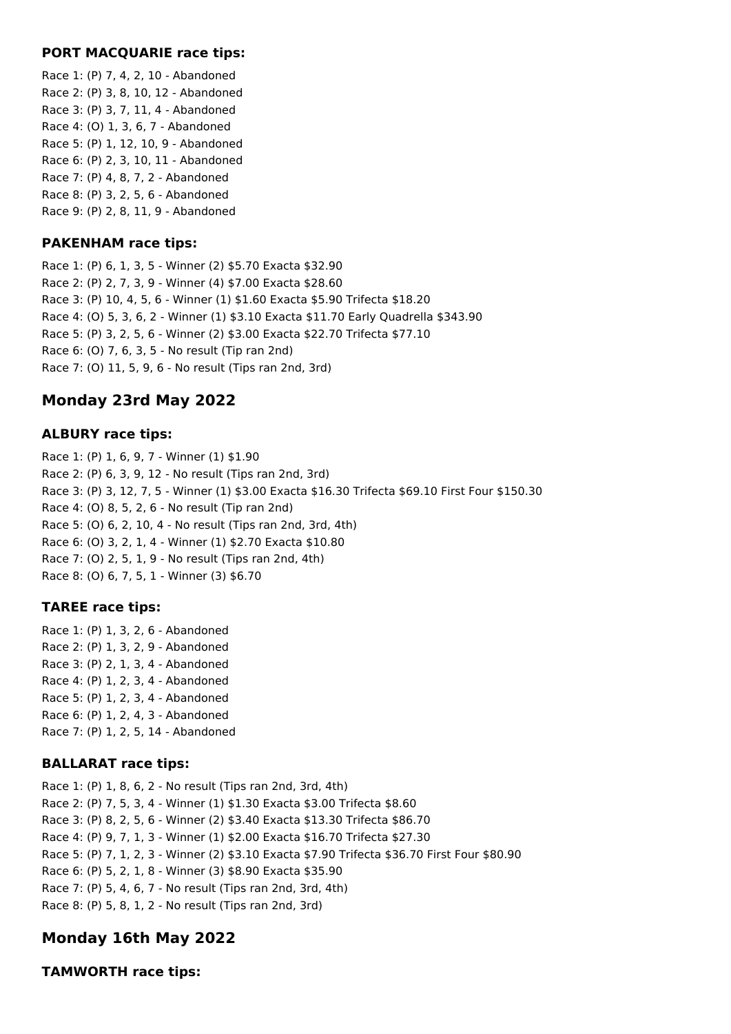### **PORT MACQUARIE race tips:**

Race 1: (P) 7, 4, 2, 10 - Abandoned Race 2: (P) 3, 8, 10, 12 - Abandoned Race 3: (P) 3, 7, 11, 4 - Abandoned Race 4: (O) 1, 3, 6, 7 - Abandoned Race 5: (P) 1, 12, 10, 9 - Abandoned Race 6: (P) 2, 3, 10, 11 - Abandoned Race 7: (P) 4, 8, 7, 2 - Abandoned Race 8: (P) 3, 2, 5, 6 - Abandoned Race 9: (P) 2, 8, 11, 9 - Abandoned

### **PAKENHAM race tips:**

Race 1: (P) 6, 1, 3, 5 - Winner (2) \$5.70 Exacta \$32.90 Race 2: (P) 2, 7, 3, 9 - Winner (4) \$7.00 Exacta \$28.60 Race 3: (P) 10, 4, 5, 6 - Winner (1) \$1.60 Exacta \$5.90 Trifecta \$18.20 Race 4: (O) 5, 3, 6, 2 - Winner (1) \$3.10 Exacta \$11.70 Early Quadrella \$343.90 Race 5: (P) 3, 2, 5, 6 - Winner (2) \$3.00 Exacta \$22.70 Trifecta \$77.10 Race 6: (O) 7, 6, 3, 5 - No result (Tip ran 2nd) Race 7: (O) 11, 5, 9, 6 - No result (Tips ran 2nd, 3rd)

# **Monday 23rd May 2022**

### **ALBURY race tips:**

Race 1: (P) 1, 6, 9, 7 - Winner (1) \$1.90 Race 2: (P) 6, 3, 9, 12 - No result (Tips ran 2nd, 3rd) Race 3: (P) 3, 12, 7, 5 - Winner (1) \$3.00 Exacta \$16.30 Trifecta \$69.10 First Four \$150.30 Race 4: (O) 8, 5, 2, 6 - No result (Tip ran 2nd) Race 5: (O) 6, 2, 10, 4 - No result (Tips ran 2nd, 3rd, 4th) Race 6: (O) 3, 2, 1, 4 - Winner (1) \$2.70 Exacta \$10.80 Race 7: (O) 2, 5, 1, 9 - No result (Tips ran 2nd, 4th) Race 8: (O) 6, 7, 5, 1 - Winner (3) \$6.70

# **TAREE race tips:**

Race 1: (P) 1, 3, 2, 6 - Abandoned Race 2: (P) 1, 3, 2, 9 - Abandoned Race 3: (P) 2, 1, 3, 4 - Abandoned Race 4: (P) 1, 2, 3, 4 - Abandoned Race 5: (P) 1, 2, 3, 4 - Abandoned Race 6: (P) 1, 2, 4, 3 - Abandoned Race 7: (P) 1, 2, 5, 14 - Abandoned

# **BALLARAT race tips:**

Race 1: (P) 1, 8, 6, 2 - No result (Tips ran 2nd, 3rd, 4th) Race 2: (P) 7, 5, 3, 4 - Winner (1) \$1.30 Exacta \$3.00 Trifecta \$8.60 Race 3: (P) 8, 2, 5, 6 - Winner (2) \$3.40 Exacta \$13.30 Trifecta \$86.70 Race 4: (P) 9, 7, 1, 3 - Winner (1) \$2.00 Exacta \$16.70 Trifecta \$27.30 Race 5: (P) 7, 1, 2, 3 - Winner (2) \$3.10 Exacta \$7.90 Trifecta \$36.70 First Four \$80.90 Race 6: (P) 5, 2, 1, 8 - Winner (3) \$8.90 Exacta \$35.90 Race 7: (P) 5, 4, 6, 7 - No result (Tips ran 2nd, 3rd, 4th) Race 8: (P) 5, 8, 1, 2 - No result (Tips ran 2nd, 3rd)

# **Monday 16th May 2022**

#### **TAMWORTH race tips:**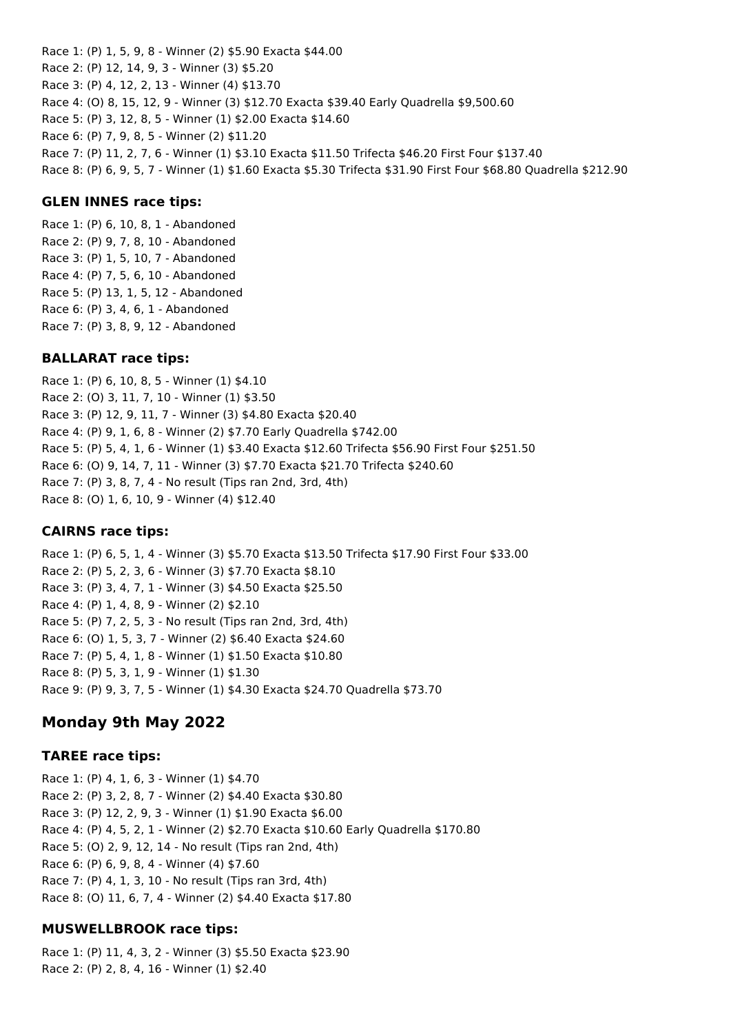Race 1: (P) 1, 5, 9, 8 - Winner (2) \$5.90 Exacta \$44.00 Race 2: (P) 12, 14, 9, 3 - Winner (3) \$5.20 Race 3: (P) 4, 12, 2, 13 - Winner (4) \$13.70 Race 4: (O) 8, 15, 12, 9 - Winner (3) \$12.70 Exacta \$39.40 Early Quadrella \$9,500.60 Race 5: (P) 3, 12, 8, 5 - Winner (1) \$2.00 Exacta \$14.60 Race 6: (P) 7, 9, 8, 5 - Winner (2) \$11.20 Race 7: (P) 11, 2, 7, 6 - Winner (1) \$3.10 Exacta \$11.50 Trifecta \$46.20 First Four \$137.40 Race 8: (P) 6, 9, 5, 7 - Winner (1) \$1.60 Exacta \$5.30 Trifecta \$31.90 First Four \$68.80 Quadrella \$212.90

### **GLEN INNES race tips:**

Race 1: (P) 6, 10, 8, 1 - Abandoned Race 2: (P) 9, 7, 8, 10 - Abandoned Race 3: (P) 1, 5, 10, 7 - Abandoned Race 4: (P) 7, 5, 6, 10 - Abandoned Race 5: (P) 13, 1, 5, 12 - Abandoned Race 6: (P) 3, 4, 6, 1 - Abandoned Race 7: (P) 3, 8, 9, 12 - Abandoned

### **BALLARAT race tips:**

Race 1: (P) 6, 10, 8, 5 - Winner (1) \$4.10 Race 2: (O) 3, 11, 7, 10 - Winner (1) \$3.50 Race 3: (P) 12, 9, 11, 7 - Winner (3) \$4.80 Exacta \$20.40 Race 4: (P) 9, 1, 6, 8 - Winner (2) \$7.70 Early Quadrella \$742.00 Race 5: (P) 5, 4, 1, 6 - Winner (1) \$3.40 Exacta \$12.60 Trifecta \$56.90 First Four \$251.50 Race 6: (O) 9, 14, 7, 11 - Winner (3) \$7.70 Exacta \$21.70 Trifecta \$240.60 Race 7: (P) 3, 8, 7, 4 - No result (Tips ran 2nd, 3rd, 4th) Race 8: (O) 1, 6, 10, 9 - Winner (4) \$12.40

#### **CAIRNS race tips:**

Race 1: (P) 6, 5, 1, 4 - Winner (3) \$5.70 Exacta \$13.50 Trifecta \$17.90 First Four \$33.00 Race 2: (P) 5, 2, 3, 6 - Winner (3) \$7.70 Exacta \$8.10 Race 3: (P) 3, 4, 7, 1 - Winner (3) \$4.50 Exacta \$25.50 Race 4: (P) 1, 4, 8, 9 - Winner (2) \$2.10 Race 5: (P) 7, 2, 5, 3 - No result (Tips ran 2nd, 3rd, 4th) Race 6: (O) 1, 5, 3, 7 - Winner (2) \$6.40 Exacta \$24.60 Race 7: (P) 5, 4, 1, 8 - Winner (1) \$1.50 Exacta \$10.80 Race 8: (P) 5, 3, 1, 9 - Winner (1) \$1.30 Race 9: (P) 9, 3, 7, 5 - Winner (1) \$4.30 Exacta \$24.70 Quadrella \$73.70

# **Monday 9th May 2022**

#### **TAREE race tips:**

Race 1: (P) 4, 1, 6, 3 - Winner (1) \$4.70 Race 2: (P) 3, 2, 8, 7 - Winner (2) \$4.40 Exacta \$30.80 Race 3: (P) 12, 2, 9, 3 - Winner (1) \$1.90 Exacta \$6.00 Race 4: (P) 4, 5, 2, 1 - Winner (2) \$2.70 Exacta \$10.60 Early Quadrella \$170.80 Race 5: (O) 2, 9, 12, 14 - No result (Tips ran 2nd, 4th) Race 6: (P) 6, 9, 8, 4 - Winner (4) \$7.60 Race 7: (P) 4, 1, 3, 10 - No result (Tips ran 3rd, 4th) Race 8: (O) 11, 6, 7, 4 - Winner (2) \$4.40 Exacta \$17.80

# **MUSWELLBROOK race tips:**

Race 1: (P) 11, 4, 3, 2 - Winner (3) \$5.50 Exacta \$23.90 Race 2: (P) 2, 8, 4, 16 - Winner (1) \$2.40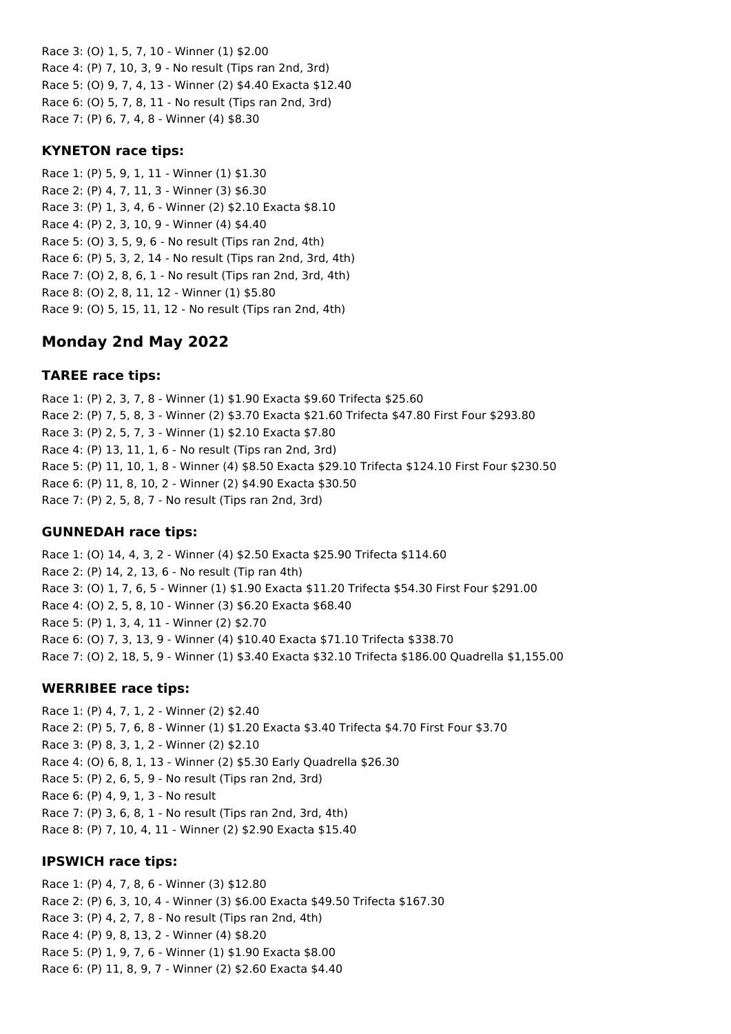Race 3: (O) 1, 5, 7, 10 - Winner (1) \$2.00 Race 4: (P) 7, 10, 3, 9 - No result (Tips ran 2nd, 3rd) Race 5: (O) 9, 7, 4, 13 - Winner (2) \$4.40 Exacta \$12.40 Race 6: (O) 5, 7, 8, 11 - No result (Tips ran 2nd, 3rd) Race 7: (P) 6, 7, 4, 8 - Winner (4) \$8.30

#### **KYNETON race tips:**

Race 1: (P) 5, 9, 1, 11 - Winner (1) \$1.30 Race 2: (P) 4, 7, 11, 3 - Winner (3) \$6.30 Race 3: (P) 1, 3, 4, 6 - Winner (2) \$2.10 Exacta \$8.10 Race 4: (P) 2, 3, 10, 9 - Winner (4) \$4.40 Race 5: (O) 3, 5, 9, 6 - No result (Tips ran 2nd, 4th) Race 6: (P) 5, 3, 2, 14 - No result (Tips ran 2nd, 3rd, 4th) Race 7: (O) 2, 8, 6, 1 - No result (Tips ran 2nd, 3rd, 4th) Race 8: (O) 2, 8, 11, 12 - Winner (1) \$5.80 Race 9: (O) 5, 15, 11, 12 - No result (Tips ran 2nd, 4th)

# **Monday 2nd May 2022**

# **TAREE race tips:**

Race 1: (P) 2, 3, 7, 8 - Winner (1) \$1.90 Exacta \$9.60 Trifecta \$25.60 Race 2: (P) 7, 5, 8, 3 - Winner (2) \$3.70 Exacta \$21.60 Trifecta \$47.80 First Four \$293.80 Race 3: (P) 2, 5, 7, 3 - Winner (1) \$2.10 Exacta \$7.80 Race 4: (P) 13, 11, 1, 6 - No result (Tips ran 2nd, 3rd) Race 5: (P) 11, 10, 1, 8 - Winner (4) \$8.50 Exacta \$29.10 Trifecta \$124.10 First Four \$230.50 Race 6: (P) 11, 8, 10, 2 - Winner (2) \$4.90 Exacta \$30.50 Race 7: (P) 2, 5, 8, 7 - No result (Tips ran 2nd, 3rd)

# **GUNNEDAH race tips:**

Race 1: (O) 14, 4, 3, 2 - Winner (4) \$2.50 Exacta \$25.90 Trifecta \$114.60 Race 2: (P) 14, 2, 13, 6 - No result (Tip ran 4th) Race 3: (O) 1, 7, 6, 5 - Winner (1) \$1.90 Exacta \$11.20 Trifecta \$54.30 First Four \$291.00 Race 4: (O) 2, 5, 8, 10 - Winner (3) \$6.20 Exacta \$68.40 Race 5: (P) 1, 3, 4, 11 - Winner (2) \$2.70 Race 6: (O) 7, 3, 13, 9 - Winner (4) \$10.40 Exacta \$71.10 Trifecta \$338.70 Race 7: (O) 2, 18, 5, 9 - Winner (1) \$3.40 Exacta \$32.10 Trifecta \$186.00 Quadrella \$1,155.00

#### **WERRIBEE race tips:**

Race 1: (P) 4, 7, 1, 2 - Winner (2) \$2.40 Race 2: (P) 5, 7, 6, 8 - Winner (1) \$1.20 Exacta \$3.40 Trifecta \$4.70 First Four \$3.70 Race 3: (P) 8, 3, 1, 2 - Winner (2) \$2.10 Race 4: (O) 6, 8, 1, 13 - Winner (2) \$5.30 Early Quadrella \$26.30 Race 5: (P) 2, 6, 5, 9 - No result (Tips ran 2nd, 3rd) Race 6: (P) 4, 9, 1, 3 - No result Race 7: (P) 3, 6, 8, 1 - No result (Tips ran 2nd, 3rd, 4th) Race 8: (P) 7, 10, 4, 11 - Winner (2) \$2.90 Exacta \$15.40

#### **IPSWICH race tips:**

Race 1: (P) 4, 7, 8, 6 - Winner (3) \$12.80 Race 2: (P) 6, 3, 10, 4 - Winner (3) \$6.00 Exacta \$49.50 Trifecta \$167.30 Race 3: (P) 4, 2, 7, 8 - No result (Tips ran 2nd, 4th) Race 4: (P) 9, 8, 13, 2 - Winner (4) \$8.20 Race 5: (P) 1, 9, 7, 6 - Winner (1) \$1.90 Exacta \$8.00 Race 6: (P) 11, 8, 9, 7 - Winner (2) \$2.60 Exacta \$4.40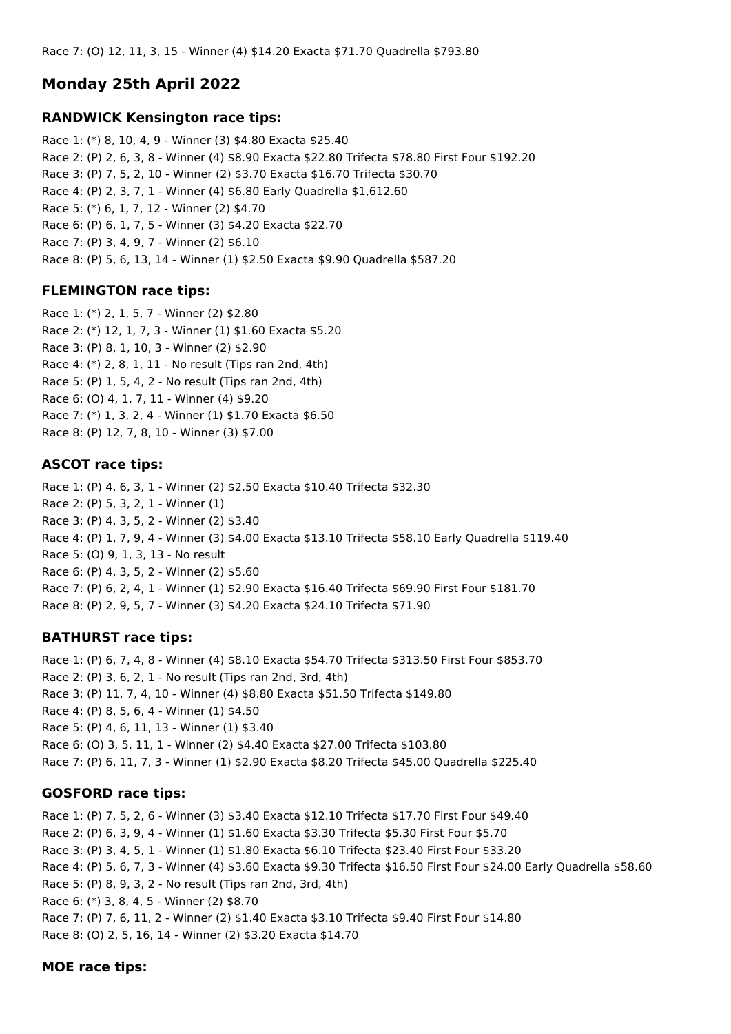Race 7: (O) 12, 11, 3, 15 - Winner (4) \$14.20 Exacta \$71.70 Quadrella \$793.80

# **Monday 25th April 2022**

#### **RANDWICK Kensington race tips:**

Race 1: (\*) 8, 10, 4, 9 - Winner (3) \$4.80 Exacta \$25.40 Race 2: (P) 2, 6, 3, 8 - Winner (4) \$8.90 Exacta \$22.80 Trifecta \$78.80 First Four \$192.20 Race 3: (P) 7, 5, 2, 10 - Winner (2) \$3.70 Exacta \$16.70 Trifecta \$30.70 Race 4: (P) 2, 3, 7, 1 - Winner (4) \$6.80 Early Quadrella \$1,612.60 Race 5: (\*) 6, 1, 7, 12 - Winner (2) \$4.70 Race 6: (P) 6, 1, 7, 5 - Winner (3) \$4.20 Exacta \$22.70 Race 7: (P) 3, 4, 9, 7 - Winner (2) \$6.10 Race 8: (P) 5, 6, 13, 14 - Winner (1) \$2.50 Exacta \$9.90 Quadrella \$587.20

# **FLEMINGTON race tips:**

Race 1: (\*) 2, 1, 5, 7 - Winner (2) \$2.80 Race 2: (\*) 12, 1, 7, 3 - Winner (1) \$1.60 Exacta \$5.20 Race 3: (P) 8, 1, 10, 3 - Winner (2) \$2.90 Race 4: (\*) 2, 8, 1, 11 - No result (Tips ran 2nd, 4th) Race 5: (P) 1, 5, 4, 2 - No result (Tips ran 2nd, 4th) Race 6: (O) 4, 1, 7, 11 - Winner (4) \$9.20 Race 7: (\*) 1, 3, 2, 4 - Winner (1) \$1.70 Exacta \$6.50 Race 8: (P) 12, 7, 8, 10 - Winner (3) \$7.00

# **ASCOT race tips:**

Race 1: (P) 4, 6, 3, 1 - Winner (2) \$2.50 Exacta \$10.40 Trifecta \$32.30 Race 2: (P) 5, 3, 2, 1 - Winner (1) Race 3: (P) 4, 3, 5, 2 - Winner (2) \$3.40 Race 4: (P) 1, 7, 9, 4 - Winner (3) \$4.00 Exacta \$13.10 Trifecta \$58.10 Early Quadrella \$119.40 Race 5: (O) 9, 1, 3, 13 - No result Race 6: (P) 4, 3, 5, 2 - Winner (2) \$5.60 Race 7: (P) 6, 2, 4, 1 - Winner (1) \$2.90 Exacta \$16.40 Trifecta \$69.90 First Four \$181.70 Race 8: (P) 2, 9, 5, 7 - Winner (3) \$4.20 Exacta \$24.10 Trifecta \$71.90

# **BATHURST race tips:**

Race 1: (P) 6, 7, 4, 8 - Winner (4) \$8.10 Exacta \$54.70 Trifecta \$313.50 First Four \$853.70 Race 2: (P) 3, 6, 2, 1 - No result (Tips ran 2nd, 3rd, 4th) Race 3: (P) 11, 7, 4, 10 - Winner (4) \$8.80 Exacta \$51.50 Trifecta \$149.80 Race 4: (P) 8, 5, 6, 4 - Winner (1) \$4.50 Race 5: (P) 4, 6, 11, 13 - Winner (1) \$3.40 Race 6: (O) 3, 5, 11, 1 - Winner (2) \$4.40 Exacta \$27.00 Trifecta \$103.80 Race 7: (P) 6, 11, 7, 3 - Winner (1) \$2.90 Exacta \$8.20 Trifecta \$45.00 Quadrella \$225.40

# **GOSFORD race tips:**

Race 1: (P) 7, 5, 2, 6 - Winner (3) \$3.40 Exacta \$12.10 Trifecta \$17.70 First Four \$49.40 Race 2: (P) 6, 3, 9, 4 - Winner (1) \$1.60 Exacta \$3.30 Trifecta \$5.30 First Four \$5.70 Race 3: (P) 3, 4, 5, 1 - Winner (1) \$1.80 Exacta \$6.10 Trifecta \$23.40 First Four \$33.20 Race 4: (P) 5, 6, 7, 3 - Winner (4) \$3.60 Exacta \$9.30 Trifecta \$16.50 First Four \$24.00 Early Quadrella \$58.60 Race 5: (P) 8, 9, 3, 2 - No result (Tips ran 2nd, 3rd, 4th) Race 6: (\*) 3, 8, 4, 5 - Winner (2) \$8.70 Race 7: (P) 7, 6, 11, 2 - Winner (2) \$1.40 Exacta \$3.10 Trifecta \$9.40 First Four \$14.80 Race 8: (O) 2, 5, 16, 14 - Winner (2) \$3.20 Exacta \$14.70

# **MOE race tips:**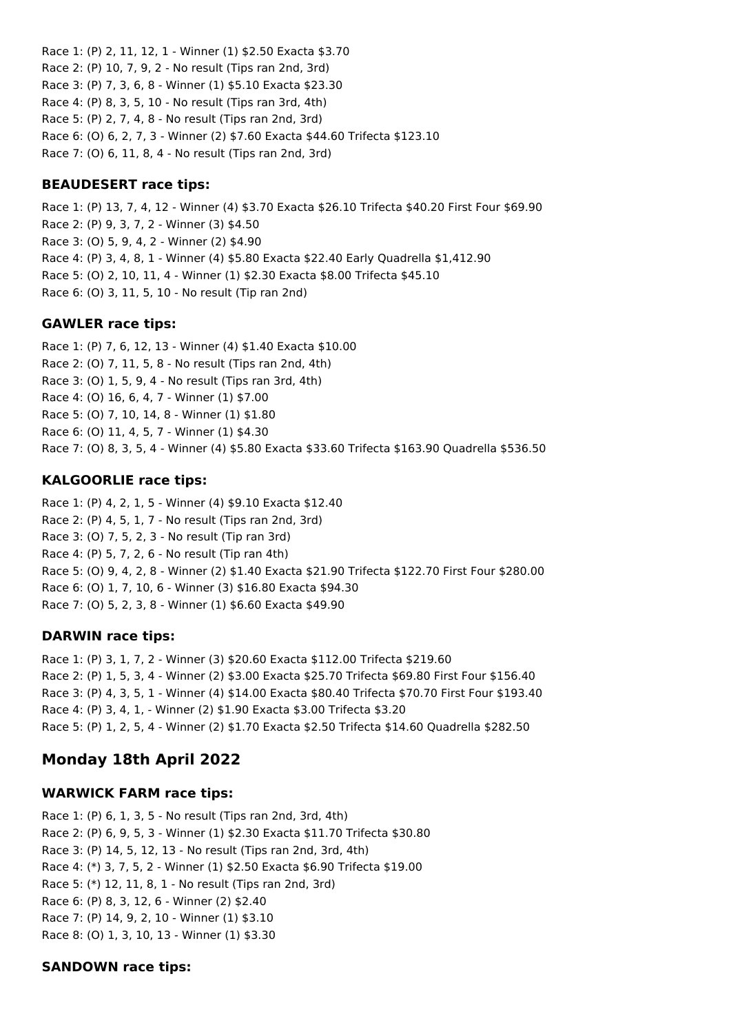Race 1: (P) 2, 11, 12, 1 - Winner (1) \$2.50 Exacta \$3.70 Race 2: (P) 10, 7, 9, 2 - No result (Tips ran 2nd, 3rd) Race 3: (P) 7, 3, 6, 8 - Winner (1) \$5.10 Exacta \$23.30 Race 4: (P) 8, 3, 5, 10 - No result (Tips ran 3rd, 4th) Race 5: (P) 2, 7, 4, 8 - No result (Tips ran 2nd, 3rd) Race 6: (O) 6, 2, 7, 3 - Winner (2) \$7.60 Exacta \$44.60 Trifecta \$123.10 Race 7: (O) 6, 11, 8, 4 - No result (Tips ran 2nd, 3rd)

### **BEAUDESERT race tips:**

Race 1: (P) 13, 7, 4, 12 - Winner (4) \$3.70 Exacta \$26.10 Trifecta \$40.20 First Four \$69.90 Race 2: (P) 9, 3, 7, 2 - Winner (3) \$4.50 Race 3: (O) 5, 9, 4, 2 - Winner (2) \$4.90 Race 4: (P) 3, 4, 8, 1 - Winner (4) \$5.80 Exacta \$22.40 Early Quadrella \$1,412.90 Race 5: (O) 2, 10, 11, 4 - Winner (1) \$2.30 Exacta \$8.00 Trifecta \$45.10 Race 6: (O) 3, 11, 5, 10 - No result (Tip ran 2nd)

### **GAWLER race tips:**

Race 1: (P) 7, 6, 12, 13 - Winner (4) \$1.40 Exacta \$10.00 Race 2: (O) 7, 11, 5, 8 - No result (Tips ran 2nd, 4th) Race 3: (O) 1, 5, 9, 4 - No result (Tips ran 3rd, 4th) Race 4: (O) 16, 6, 4, 7 - Winner (1) \$7.00 Race 5: (O) 7, 10, 14, 8 - Winner (1) \$1.80 Race 6: (O) 11, 4, 5, 7 - Winner (1) \$4.30 Race 7: (O) 8, 3, 5, 4 - Winner (4) \$5.80 Exacta \$33.60 Trifecta \$163.90 Quadrella \$536.50

# **KALGOORLIE race tips:**

Race 1: (P) 4, 2, 1, 5 - Winner (4) \$9.10 Exacta \$12.40 Race 2: (P) 4, 5, 1, 7 - No result (Tips ran 2nd, 3rd) Race 3: (O) 7, 5, 2, 3 - No result (Tip ran 3rd) Race 4: (P) 5, 7, 2, 6 - No result (Tip ran 4th) Race 5: (O) 9, 4, 2, 8 - Winner (2) \$1.40 Exacta \$21.90 Trifecta \$122.70 First Four \$280.00 Race 6: (O) 1, 7, 10, 6 - Winner (3) \$16.80 Exacta \$94.30 Race 7: (O) 5, 2, 3, 8 - Winner (1) \$6.60 Exacta \$49.90

# **DARWIN race tips:**

Race 1: (P) 3, 1, 7, 2 - Winner (3) \$20.60 Exacta \$112.00 Trifecta \$219.60 Race 2: (P) 1, 5, 3, 4 - Winner (2) \$3.00 Exacta \$25.70 Trifecta \$69.80 First Four \$156.40 Race 3: (P) 4, 3, 5, 1 - Winner (4) \$14.00 Exacta \$80.40 Trifecta \$70.70 First Four \$193.40 Race 4: (P) 3, 4, 1, - Winner (2) \$1.90 Exacta \$3.00 Trifecta \$3.20 Race 5: (P) 1, 2, 5, 4 - Winner (2) \$1.70 Exacta \$2.50 Trifecta \$14.60 Quadrella \$282.50

# **Monday 18th April 2022**

#### **WARWICK FARM race tips:**

Race 1: (P) 6, 1, 3, 5 - No result (Tips ran 2nd, 3rd, 4th) Race 2: (P) 6, 9, 5, 3 - Winner (1) \$2.30 Exacta \$11.70 Trifecta \$30.80 Race 3: (P) 14, 5, 12, 13 - No result (Tips ran 2nd, 3rd, 4th) Race 4: (\*) 3, 7, 5, 2 - Winner (1) \$2.50 Exacta \$6.90 Trifecta \$19.00 Race 5: (\*) 12, 11, 8, 1 - No result (Tips ran 2nd, 3rd) Race 6: (P) 8, 3, 12, 6 - Winner (2) \$2.40 Race 7: (P) 14, 9, 2, 10 - Winner (1) \$3.10 Race 8: (O) 1, 3, 10, 13 - Winner (1) \$3.30

#### **SANDOWN race tips:**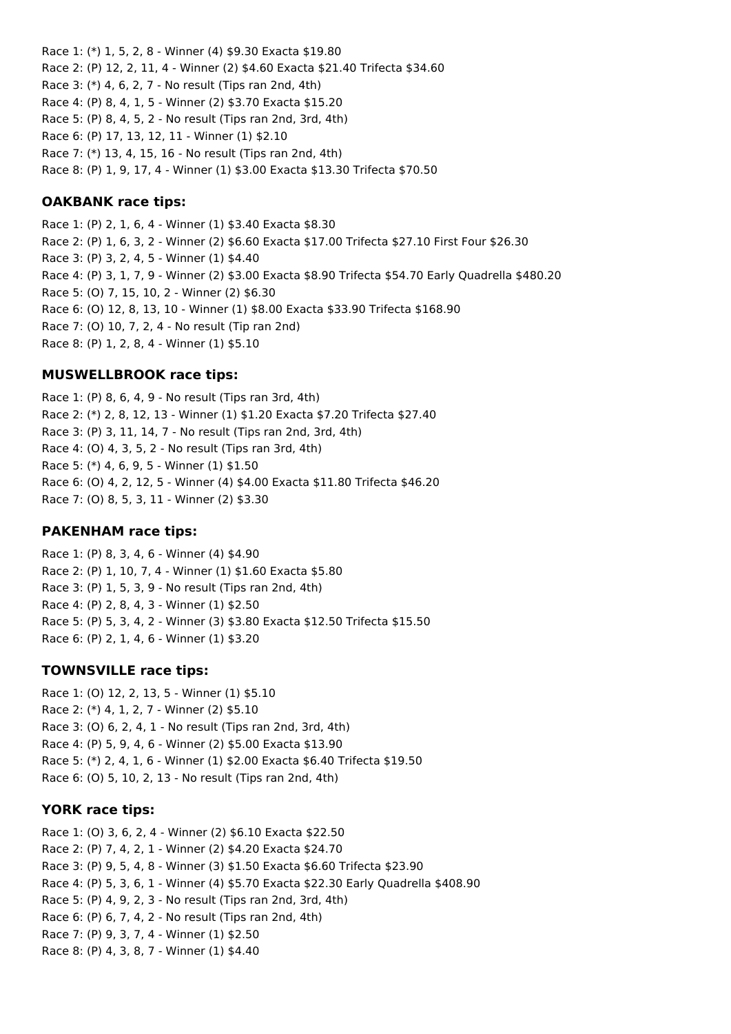Race 1: (\*) 1, 5, 2, 8 - Winner (4) \$9.30 Exacta \$19.80 Race 2: (P) 12, 2, 11, 4 - Winner (2) \$4.60 Exacta \$21.40 Trifecta \$34.60 Race 3: (\*) 4, 6, 2, 7 - No result (Tips ran 2nd, 4th) Race 4: (P) 8, 4, 1, 5 - Winner (2) \$3.70 Exacta \$15.20 Race 5: (P) 8, 4, 5, 2 - No result (Tips ran 2nd, 3rd, 4th) Race 6: (P) 17, 13, 12, 11 - Winner (1) \$2.10 Race 7: (\*) 13, 4, 15, 16 - No result (Tips ran 2nd, 4th) Race 8: (P) 1, 9, 17, 4 - Winner (1) \$3.00 Exacta \$13.30 Trifecta \$70.50

#### **OAKBANK race tips:**

Race 1: (P) 2, 1, 6, 4 - Winner (1) \$3.40 Exacta \$8.30 Race 2: (P) 1, 6, 3, 2 - Winner (2) \$6.60 Exacta \$17.00 Trifecta \$27.10 First Four \$26.30 Race 3: (P) 3, 2, 4, 5 - Winner (1) \$4.40 Race 4: (P) 3, 1, 7, 9 - Winner (2) \$3.00 Exacta \$8.90 Trifecta \$54.70 Early Quadrella \$480.20 Race 5: (O) 7, 15, 10, 2 - Winner (2) \$6.30 Race 6: (O) 12, 8, 13, 10 - Winner (1) \$8.00 Exacta \$33.90 Trifecta \$168.90 Race 7: (O) 10, 7, 2, 4 - No result (Tip ran 2nd) Race 8: (P) 1, 2, 8, 4 - Winner (1) \$5.10

# **MUSWELLBROOK race tips:**

Race 1: (P) 8, 6, 4, 9 - No result (Tips ran 3rd, 4th) Race 2: (\*) 2, 8, 12, 13 - Winner (1) \$1.20 Exacta \$7.20 Trifecta \$27.40 Race 3: (P) 3, 11, 14, 7 - No result (Tips ran 2nd, 3rd, 4th) Race 4: (O) 4, 3, 5, 2 - No result (Tips ran 3rd, 4th) Race 5: (\*) 4, 6, 9, 5 - Winner (1) \$1.50 Race 6: (O) 4, 2, 12, 5 - Winner (4) \$4.00 Exacta \$11.80 Trifecta \$46.20 Race 7: (O) 8, 5, 3, 11 - Winner (2) \$3.30

#### **PAKENHAM race tips:**

Race 1: (P) 8, 3, 4, 6 - Winner (4) \$4.90 Race 2: (P) 1, 10, 7, 4 - Winner (1) \$1.60 Exacta \$5.80 Race 3: (P) 1, 5, 3, 9 - No result (Tips ran 2nd, 4th) Race 4: (P) 2, 8, 4, 3 - Winner (1) \$2.50 Race 5: (P) 5, 3, 4, 2 - Winner (3) \$3.80 Exacta \$12.50 Trifecta \$15.50 Race 6: (P) 2, 1, 4, 6 - Winner (1) \$3.20

#### **TOWNSVILLE race tips:**

Race 1: (O) 12, 2, 13, 5 - Winner (1) \$5.10 Race 2: (\*) 4, 1, 2, 7 - Winner (2) \$5.10 Race 3: (O) 6, 2, 4, 1 - No result (Tips ran 2nd, 3rd, 4th) Race 4: (P) 5, 9, 4, 6 - Winner (2) \$5.00 Exacta \$13.90 Race 5: (\*) 2, 4, 1, 6 - Winner (1) \$2.00 Exacta \$6.40 Trifecta \$19.50 Race 6: (O) 5, 10, 2, 13 - No result (Tips ran 2nd, 4th)

#### **YORK race tips:**

Race 1: (O) 3, 6, 2, 4 - Winner (2) \$6.10 Exacta \$22.50 Race 2: (P) 7, 4, 2, 1 - Winner (2) \$4.20 Exacta \$24.70 Race 3: (P) 9, 5, 4, 8 - Winner (3) \$1.50 Exacta \$6.60 Trifecta \$23.90 Race 4: (P) 5, 3, 6, 1 - Winner (4) \$5.70 Exacta \$22.30 Early Quadrella \$408.90 Race 5: (P) 4, 9, 2, 3 - No result (Tips ran 2nd, 3rd, 4th) Race 6: (P) 6, 7, 4, 2 - No result (Tips ran 2nd, 4th) Race 7: (P) 9, 3, 7, 4 - Winner (1) \$2.50 Race 8: (P) 4, 3, 8, 7 - Winner (1) \$4.40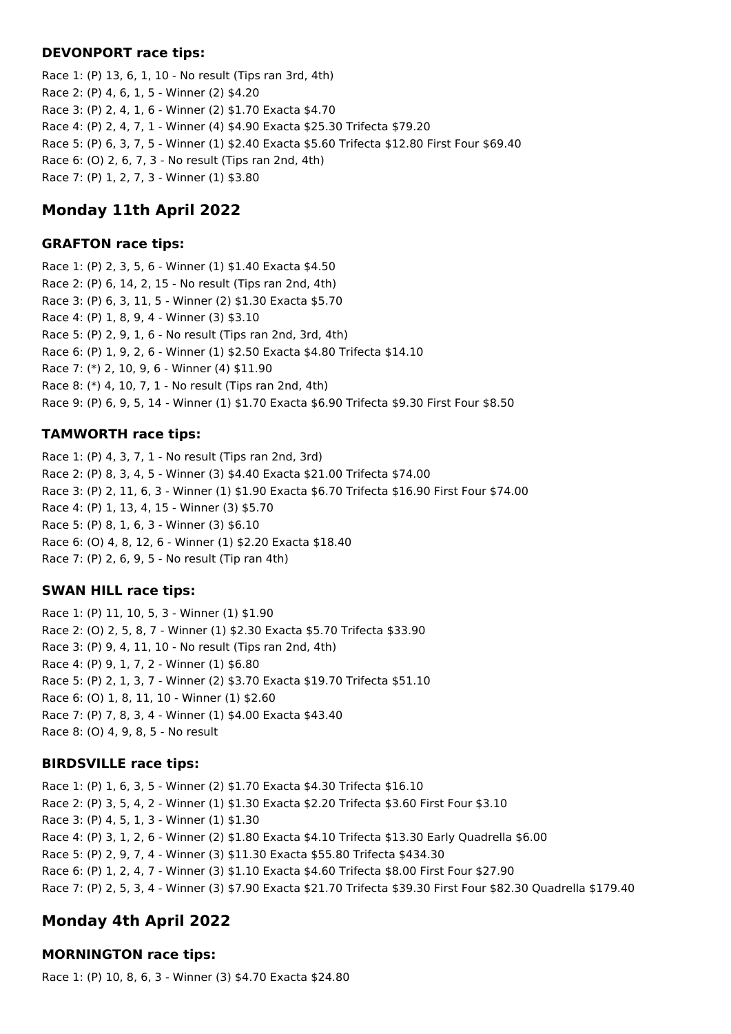#### **DEVONPORT race tips:**

Race 1: (P) 13, 6, 1, 10 - No result (Tips ran 3rd, 4th) Race 2: (P) 4, 6, 1, 5 - Winner (2) \$4.20 Race 3: (P) 2, 4, 1, 6 - Winner (2) \$1.70 Exacta \$4.70 Race 4: (P) 2, 4, 7, 1 - Winner (4) \$4.90 Exacta \$25.30 Trifecta \$79.20 Race 5: (P) 6, 3, 7, 5 - Winner (1) \$2.40 Exacta \$5.60 Trifecta \$12.80 First Four \$69.40 Race 6: (O) 2, 6, 7, 3 - No result (Tips ran 2nd, 4th) Race 7: (P) 1, 2, 7, 3 - Winner (1) \$3.80

# **Monday 11th April 2022**

### **GRAFTON race tips:**

Race 1: (P) 2, 3, 5, 6 - Winner (1) \$1.40 Exacta \$4.50 Race 2: (P) 6, 14, 2, 15 - No result (Tips ran 2nd, 4th) Race 3: (P) 6, 3, 11, 5 - Winner (2) \$1.30 Exacta \$5.70 Race 4: (P) 1, 8, 9, 4 - Winner (3) \$3.10 Race 5: (P) 2, 9, 1, 6 - No result (Tips ran 2nd, 3rd, 4th) Race 6: (P) 1, 9, 2, 6 - Winner (1) \$2.50 Exacta \$4.80 Trifecta \$14.10 Race 7: (\*) 2, 10, 9, 6 - Winner (4) \$11.90 Race 8: (\*) 4, 10, 7, 1 - No result (Tips ran 2nd, 4th) Race 9: (P) 6, 9, 5, 14 - Winner (1) \$1.70 Exacta \$6.90 Trifecta \$9.30 First Four \$8.50

# **TAMWORTH race tips:**

Race 1: (P) 4, 3, 7, 1 - No result (Tips ran 2nd, 3rd) Race 2: (P) 8, 3, 4, 5 - Winner (3) \$4.40 Exacta \$21.00 Trifecta \$74.00 Race 3: (P) 2, 11, 6, 3 - Winner (1) \$1.90 Exacta \$6.70 Trifecta \$16.90 First Four \$74.00 Race 4: (P) 1, 13, 4, 15 - Winner (3) \$5.70 Race 5: (P) 8, 1, 6, 3 - Winner (3) \$6.10 Race 6: (O) 4, 8, 12, 6 - Winner (1) \$2.20 Exacta \$18.40 Race 7: (P) 2, 6, 9, 5 - No result (Tip ran 4th)

# **SWAN HILL race tips:**

Race 1: (P) 11, 10, 5, 3 - Winner (1) \$1.90 Race 2: (O) 2, 5, 8, 7 - Winner (1) \$2.30 Exacta \$5.70 Trifecta \$33.90 Race 3: (P) 9, 4, 11, 10 - No result (Tips ran 2nd, 4th) Race 4: (P) 9, 1, 7, 2 - Winner (1) \$6.80 Race 5: (P) 2, 1, 3, 7 - Winner (2) \$3.70 Exacta \$19.70 Trifecta \$51.10 Race 6: (O) 1, 8, 11, 10 - Winner (1) \$2.60 Race 7: (P) 7, 8, 3, 4 - Winner (1) \$4.00 Exacta \$43.40 Race 8: (O) 4, 9, 8, 5 - No result

# **BIRDSVILLE race tips:**

Race 1: (P) 1, 6, 3, 5 - Winner (2) \$1.70 Exacta \$4.30 Trifecta \$16.10 Race 2: (P) 3, 5, 4, 2 - Winner (1) \$1.30 Exacta \$2.20 Trifecta \$3.60 First Four \$3.10 Race 3: (P) 4, 5, 1, 3 - Winner (1) \$1.30 Race 4: (P) 3, 1, 2, 6 - Winner (2) \$1.80 Exacta \$4.10 Trifecta \$13.30 Early Quadrella \$6.00 Race 5: (P) 2, 9, 7, 4 - Winner (3) \$11.30 Exacta \$55.80 Trifecta \$434.30 Race 6: (P) 1, 2, 4, 7 - Winner (3) \$1.10 Exacta \$4.60 Trifecta \$8.00 First Four \$27.90 Race 7: (P) 2, 5, 3, 4 - Winner (3) \$7.90 Exacta \$21.70 Trifecta \$39.30 First Four \$82.30 Quadrella \$179.40

# **Monday 4th April 2022**

# **MORNINGTON race tips:**

Race 1: (P) 10, 8, 6, 3 - Winner (3) \$4.70 Exacta \$24.80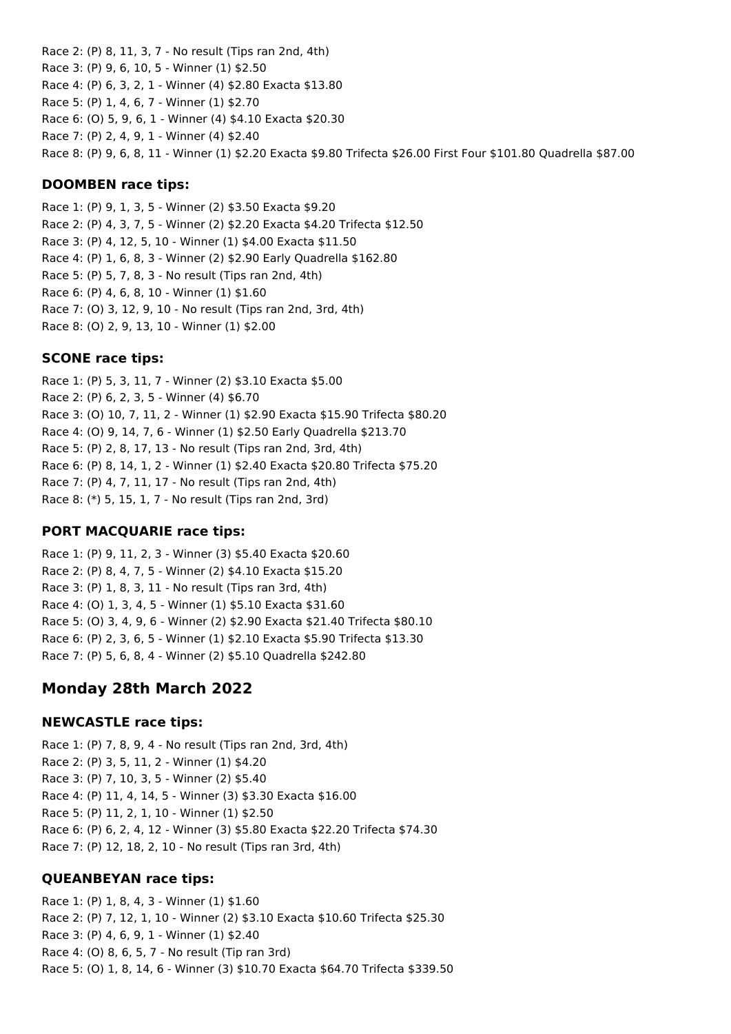Race 2: (P) 8, 11, 3, 7 - No result (Tips ran 2nd, 4th) Race 3: (P) 9, 6, 10, 5 - Winner (1) \$2.50 Race 4: (P) 6, 3, 2, 1 - Winner (4) \$2.80 Exacta \$13.80 Race 5: (P) 1, 4, 6, 7 - Winner (1) \$2.70 Race 6: (O) 5, 9, 6, 1 - Winner (4) \$4.10 Exacta \$20.30 Race 7: (P) 2, 4, 9, 1 - Winner (4) \$2.40 Race 8: (P) 9, 6, 8, 11 - Winner (1) \$2.20 Exacta \$9.80 Trifecta \$26.00 First Four \$101.80 Quadrella \$87.00

### **DOOMBEN race tips:**

Race 1: (P) 9, 1, 3, 5 - Winner (2) \$3.50 Exacta \$9.20 Race 2: (P) 4, 3, 7, 5 - Winner (2) \$2.20 Exacta \$4.20 Trifecta \$12.50 Race 3: (P) 4, 12, 5, 10 - Winner (1) \$4.00 Exacta \$11.50 Race 4: (P) 1, 6, 8, 3 - Winner (2) \$2.90 Early Quadrella \$162.80 Race 5: (P) 5, 7, 8, 3 - No result (Tips ran 2nd, 4th) Race 6: (P) 4, 6, 8, 10 - Winner (1) \$1.60 Race 7: (O) 3, 12, 9, 10 - No result (Tips ran 2nd, 3rd, 4th) Race 8: (O) 2, 9, 13, 10 - Winner (1) \$2.00

### **SCONE race tips:**

Race 1: (P) 5, 3, 11, 7 - Winner (2) \$3.10 Exacta \$5.00 Race 2: (P) 6, 2, 3, 5 - Winner (4) \$6.70 Race 3: (O) 10, 7, 11, 2 - Winner (1) \$2.90 Exacta \$15.90 Trifecta \$80.20 Race 4: (O) 9, 14, 7, 6 - Winner (1) \$2.50 Early Quadrella \$213.70 Race 5: (P) 2, 8, 17, 13 - No result (Tips ran 2nd, 3rd, 4th) Race 6: (P) 8, 14, 1, 2 - Winner (1) \$2.40 Exacta \$20.80 Trifecta \$75.20 Race 7: (P) 4, 7, 11, 17 - No result (Tips ran 2nd, 4th) Race 8: (\*) 5, 15, 1, 7 - No result (Tips ran 2nd, 3rd)

#### **PORT MACQUARIE race tips:**

Race 1: (P) 9, 11, 2, 3 - Winner (3) \$5.40 Exacta \$20.60 Race 2: (P) 8, 4, 7, 5 - Winner (2) \$4.10 Exacta \$15.20 Race 3: (P) 1, 8, 3, 11 - No result (Tips ran 3rd, 4th) Race 4: (O) 1, 3, 4, 5 - Winner (1) \$5.10 Exacta \$31.60 Race 5: (O) 3, 4, 9, 6 - Winner (2) \$2.90 Exacta \$21.40 Trifecta \$80.10 Race 6: (P) 2, 3, 6, 5 - Winner (1) \$2.10 Exacta \$5.90 Trifecta \$13.30 Race 7: (P) 5, 6, 8, 4 - Winner (2) \$5.10 Quadrella \$242.80

# **Monday 28th March 2022**

#### **NEWCASTLE race tips:**

Race 1: (P) 7, 8, 9, 4 - No result (Tips ran 2nd, 3rd, 4th) Race 2: (P) 3, 5, 11, 2 - Winner (1) \$4.20 Race 3: (P) 7, 10, 3, 5 - Winner (2) \$5.40 Race 4: (P) 11, 4, 14, 5 - Winner (3) \$3.30 Exacta \$16.00 Race 5: (P) 11, 2, 1, 10 - Winner (1) \$2.50 Race 6: (P) 6, 2, 4, 12 - Winner (3) \$5.80 Exacta \$22.20 Trifecta \$74.30 Race 7: (P) 12, 18, 2, 10 - No result (Tips ran 3rd, 4th)

#### **QUEANBEYAN race tips:**

Race 1: (P) 1, 8, 4, 3 - Winner (1) \$1.60 Race 2: (P) 7, 12, 1, 10 - Winner (2) \$3.10 Exacta \$10.60 Trifecta \$25.30 Race 3: (P) 4, 6, 9, 1 - Winner (1) \$2.40 Race 4: (O) 8, 6, 5, 7 - No result (Tip ran 3rd) Race 5: (0) 1, 8, 14, 6 - Winner (3) \$10.70 Exacta \$64.70 Trifecta \$339.50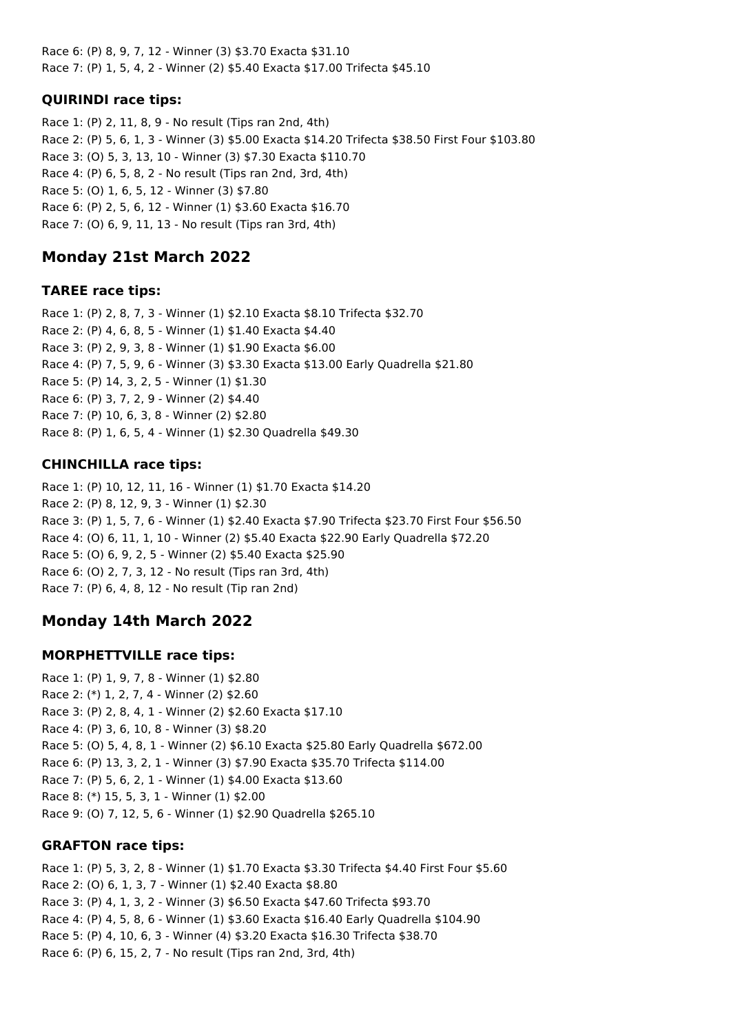Race 6: (P) 8, 9, 7, 12 - Winner (3) \$3.70 Exacta \$31.10 Race 7: (P) 1, 5, 4, 2 - Winner (2) \$5.40 Exacta \$17.00 Trifecta \$45.10

# **QUIRINDI race tips:**

Race 1: (P) 2, 11, 8, 9 - No result (Tips ran 2nd, 4th) Race 2: (P) 5, 6, 1, 3 - Winner (3) \$5.00 Exacta \$14.20 Trifecta \$38.50 First Four \$103.80 Race 3: (O) 5, 3, 13, 10 - Winner (3) \$7.30 Exacta \$110.70 Race 4: (P) 6, 5, 8, 2 - No result (Tips ran 2nd, 3rd, 4th) Race 5: (O) 1, 6, 5, 12 - Winner (3) \$7.80 Race 6: (P) 2, 5, 6, 12 - Winner (1) \$3.60 Exacta \$16.70 Race 7: (O) 6, 9, 11, 13 - No result (Tips ran 3rd, 4th)

# **Monday 21st March 2022**

# **TAREE race tips:**

Race 1: (P) 2, 8, 7, 3 - Winner (1) \$2.10 Exacta \$8.10 Trifecta \$32.70 Race 2: (P) 4, 6, 8, 5 - Winner (1) \$1.40 Exacta \$4.40 Race 3: (P) 2, 9, 3, 8 - Winner (1) \$1.90 Exacta \$6.00 Race 4: (P) 7, 5, 9, 6 - Winner (3) \$3.30 Exacta \$13.00 Early Quadrella \$21.80 Race 5: (P) 14, 3, 2, 5 - Winner (1) \$1.30 Race 6: (P) 3, 7, 2, 9 - Winner (2) \$4.40 Race 7: (P) 10, 6, 3, 8 - Winner (2) \$2.80 Race 8: (P) 1, 6, 5, 4 - Winner (1) \$2.30 Quadrella \$49.30

# **CHINCHILLA race tips:**

Race 1: (P) 10, 12, 11, 16 - Winner (1) \$1.70 Exacta \$14.20 Race 2: (P) 8, 12, 9, 3 - Winner (1) \$2.30 Race 3: (P) 1, 5, 7, 6 - Winner (1) \$2.40 Exacta \$7.90 Trifecta \$23.70 First Four \$56.50 Race 4: (O) 6, 11, 1, 10 - Winner (2) \$5.40 Exacta \$22.90 Early Quadrella \$72.20 Race 5: (O) 6, 9, 2, 5 - Winner (2) \$5.40 Exacta \$25.90 Race 6: (O) 2, 7, 3, 12 - No result (Tips ran 3rd, 4th) Race 7: (P) 6, 4, 8, 12 - No result (Tip ran 2nd)

# **Monday 14th March 2022**

# **MORPHETTVILLE race tips:**

Race 1: (P) 1, 9, 7, 8 - Winner (1) \$2.80 Race 2: (\*) 1, 2, 7, 4 - Winner (2) \$2.60 Race 3: (P) 2, 8, 4, 1 - Winner (2) \$2.60 Exacta \$17.10 Race 4: (P) 3, 6, 10, 8 - Winner (3) \$8.20 Race 5: (O) 5, 4, 8, 1 - Winner (2) \$6.10 Exacta \$25.80 Early Quadrella \$672.00 Race 6: (P) 13, 3, 2, 1 - Winner (3) \$7.90 Exacta \$35.70 Trifecta \$114.00 Race 7: (P) 5, 6, 2, 1 - Winner (1) \$4.00 Exacta \$13.60 Race 8: (\*) 15, 5, 3, 1 - Winner (1) \$2.00 Race 9: (O) 7, 12, 5, 6 - Winner (1) \$2.90 Quadrella \$265.10

# **GRAFTON race tips:**

Race 1: (P) 5, 3, 2, 8 - Winner (1) \$1.70 Exacta \$3.30 Trifecta \$4.40 First Four \$5.60 Race 2: (O) 6, 1, 3, 7 - Winner (1) \$2.40 Exacta \$8.80 Race 3: (P) 4, 1, 3, 2 - Winner (3) \$6.50 Exacta \$47.60 Trifecta \$93.70 Race 4: (P) 4, 5, 8, 6 - Winner (1) \$3.60 Exacta \$16.40 Early Quadrella \$104.90 Race 5: (P) 4, 10, 6, 3 - Winner (4) \$3.20 Exacta \$16.30 Trifecta \$38.70 Race 6: (P) 6, 15, 2, 7 - No result (Tips ran 2nd, 3rd, 4th)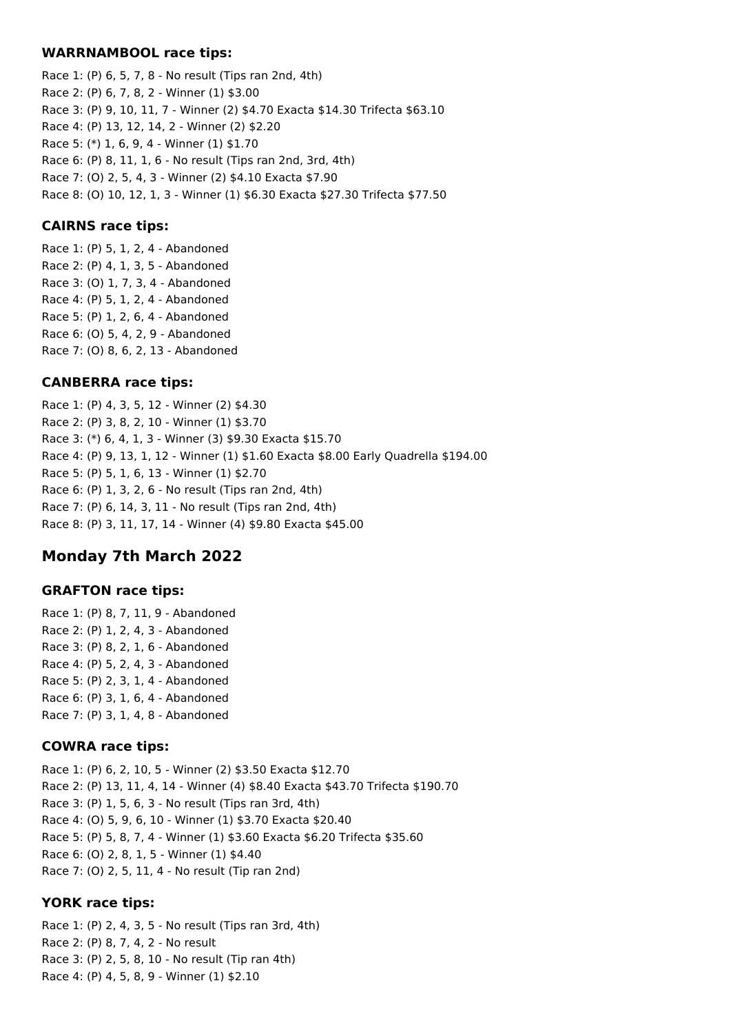#### **WARRNAMBOOL race tips:**

Race 1: (P) 6, 5, 7, 8 - No result (Tips ran 2nd, 4th) Race 2: (P) 6, 7, 8, 2 - Winner (1) \$3.00 Race 3: (P) 9, 10, 11, 7 - Winner (2) \$4.70 Exacta \$14.30 Trifecta \$63.10 Race 4: (P) 13, 12, 14, 2 - Winner (2) \$2.20 Race 5: (\*) 1, 6, 9, 4 - Winner (1) \$1.70 Race 6: (P) 8, 11, 1, 6 - No result (Tips ran 2nd, 3rd, 4th) Race 7: (O) 2, 5, 4, 3 - Winner (2) \$4.10 Exacta \$7.90 Race 8: (O) 10, 12, 1, 3 - Winner (1) \$6.30 Exacta \$27.30 Trifecta \$77.50

### **CAIRNS race tips:**

Race 1: (P) 5, 1, 2, 4 - Abandoned Race 2: (P) 4, 1, 3, 5 - Abandoned Race 3: (O) 1, 7, 3, 4 - Abandoned Race 4: (P) 5, 1, 2, 4 - Abandoned Race 5: (P) 1, 2, 6, 4 - Abandoned Race 6: (O) 5, 4, 2, 9 - Abandoned Race 7: (O) 8, 6, 2, 13 - Abandoned

#### **CANBERRA race tips:**

Race 1: (P) 4, 3, 5, 12 - Winner (2) \$4.30 Race 2: (P) 3, 8, 2, 10 - Winner (1) \$3.70 Race 3: (\*) 6, 4, 1, 3 - Winner (3) \$9.30 Exacta \$15.70 Race 4: (P) 9, 13, 1, 12 - Winner (1) \$1.60 Exacta \$8.00 Early Quadrella \$194.00 Race 5: (P) 5, 1, 6, 13 - Winner (1) \$2.70 Race 6: (P) 1, 3, 2, 6 - No result (Tips ran 2nd, 4th) Race 7: (P) 6, 14, 3, 11 - No result (Tips ran 2nd, 4th) Race 8: (P) 3, 11, 17, 14 - Winner (4) \$9.80 Exacta \$45.00

# **Monday 7th March 2022**

#### **GRAFTON race tips:**

Race 1: (P) 8, 7, 11, 9 - Abandoned Race 2: (P) 1, 2, 4, 3 - Abandoned Race 3: (P) 8, 2, 1, 6 - Abandoned Race 4: (P) 5, 2, 4, 3 - Abandoned Race 5: (P) 2, 3, 1, 4 - Abandoned Race 6: (P) 3, 1, 6, 4 - Abandoned Race 7: (P) 3, 1, 4, 8 - Abandoned

#### **COWRA race tips:**

Race 1: (P) 6, 2, 10, 5 - Winner (2) \$3.50 Exacta \$12.70 Race 2: (P) 13, 11, 4, 14 - Winner (4) \$8.40 Exacta \$43.70 Trifecta \$190.70 Race 3: (P) 1, 5, 6, 3 - No result (Tips ran 3rd, 4th) Race 4: (O) 5, 9, 6, 10 - Winner (1) \$3.70 Exacta \$20.40 Race 5: (P) 5, 8, 7, 4 - Winner (1) \$3.60 Exacta \$6.20 Trifecta \$35.60 Race 6: (O) 2, 8, 1, 5 - Winner (1) \$4.40 Race 7: (O) 2, 5, 11, 4 - No result (Tip ran 2nd)

#### **YORK race tips:**

Race 1: (P) 2, 4, 3, 5 - No result (Tips ran 3rd, 4th) Race 2: (P) 8, 7, 4, 2 - No result Race 3: (P) 2, 5, 8, 10 - No result (Tip ran 4th) Race 4: (P) 4, 5, 8, 9 - Winner (1) \$2.10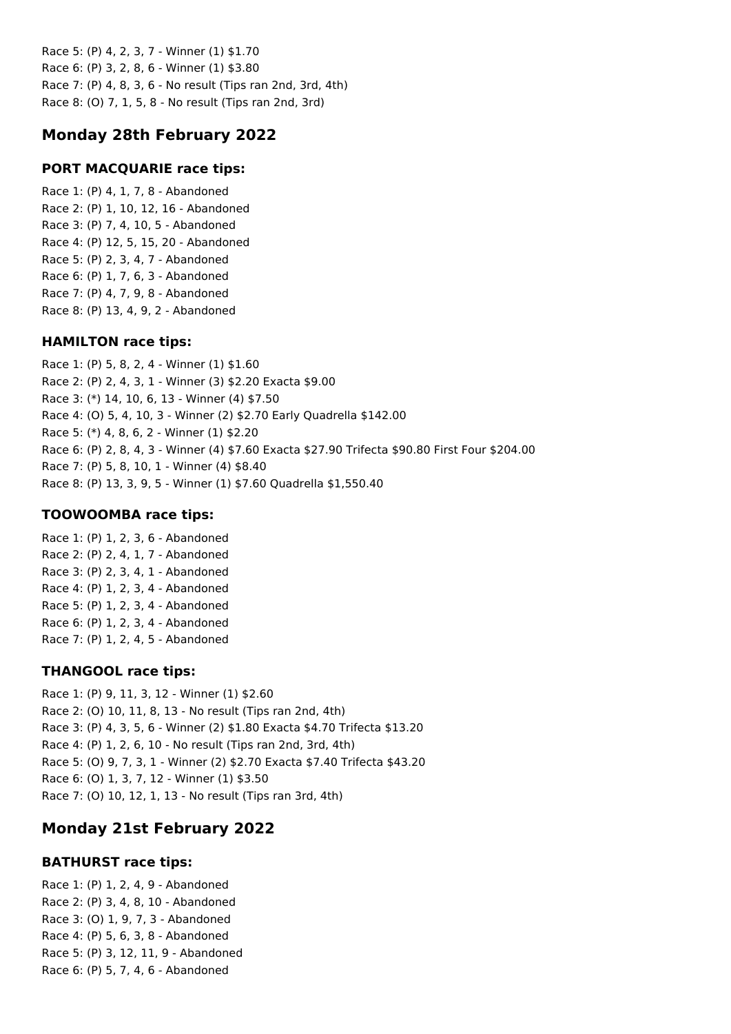Race 5: (P) 4, 2, 3, 7 - Winner (1) \$1.70 Race 6: (P) 3, 2, 8, 6 - Winner (1) \$3.80 Race 7: (P) 4, 8, 3, 6 - No result (Tips ran 2nd, 3rd, 4th) Race 8: (O) 7, 1, 5, 8 - No result (Tips ran 2nd, 3rd)

# **Monday 28th February 2022**

# **PORT MACQUARIE race tips:**

Race 1: (P) 4, 1, 7, 8 - Abandoned Race 2: (P) 1, 10, 12, 16 - Abandoned Race 3: (P) 7, 4, 10, 5 - Abandoned Race 4: (P) 12, 5, 15, 20 - Abandoned Race 5: (P) 2, 3, 4, 7 - Abandoned Race 6: (P) 1, 7, 6, 3 - Abandoned Race 7: (P) 4, 7, 9, 8 - Abandoned Race 8: (P) 13, 4, 9, 2 - Abandoned

# **HAMILTON race tips:**

Race 1: (P) 5, 8, 2, 4 - Winner (1) \$1.60 Race 2: (P) 2, 4, 3, 1 - Winner (3) \$2.20 Exacta \$9.00 Race 3: (\*) 14, 10, 6, 13 - Winner (4) \$7.50 Race 4: (O) 5, 4, 10, 3 - Winner (2) \$2.70 Early Quadrella \$142.00 Race 5: (\*) 4, 8, 6, 2 - Winner (1) \$2.20 Race 6: (P) 2, 8, 4, 3 - Winner (4) \$7.60 Exacta \$27.90 Trifecta \$90.80 First Four \$204.00 Race 7: (P) 5, 8, 10, 1 - Winner (4) \$8.40 Race 8: (P) 13, 3, 9, 5 - Winner (1) \$7.60 Quadrella \$1,550.40

# **TOOWOOMBA race tips:**

Race 1: (P) 1, 2, 3, 6 - Abandoned Race 2: (P) 2, 4, 1, 7 - Abandoned Race 3: (P) 2, 3, 4, 1 - Abandoned Race 4: (P) 1, 2, 3, 4 - Abandoned Race 5: (P) 1, 2, 3, 4 - Abandoned Race 6: (P) 1, 2, 3, 4 - Abandoned Race 7: (P) 1, 2, 4, 5 - Abandoned

# **THANGOOL race tips:**

Race 1: (P) 9, 11, 3, 12 - Winner (1) \$2.60 Race 2: (O) 10, 11, 8, 13 - No result (Tips ran 2nd, 4th) Race 3: (P) 4, 3, 5, 6 - Winner (2) \$1.80 Exacta \$4.70 Trifecta \$13.20 Race 4: (P) 1, 2, 6, 10 - No result (Tips ran 2nd, 3rd, 4th) Race 5: (O) 9, 7, 3, 1 - Winner (2) \$2.70 Exacta \$7.40 Trifecta \$43.20 Race 6: (O) 1, 3, 7, 12 - Winner (1) \$3.50 Race 7: (O) 10, 12, 1, 13 - No result (Tips ran 3rd, 4th)

# **Monday 21st February 2022**

# **BATHURST race tips:**

Race 1: (P) 1, 2, 4, 9 - Abandoned Race 2: (P) 3, 4, 8, 10 - Abandoned Race 3: (O) 1, 9, 7, 3 - Abandoned Race 4: (P) 5, 6, 3, 8 - Abandoned Race 5: (P) 3, 12, 11, 9 - Abandoned Race 6: (P) 5, 7, 4, 6 - Abandoned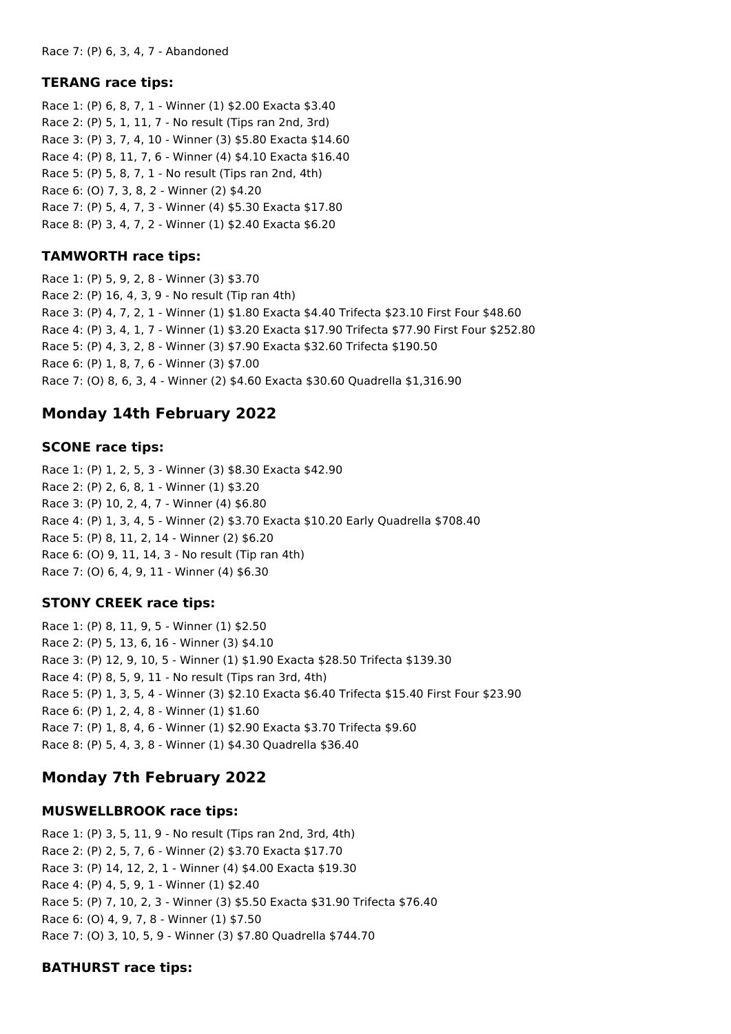#### **TERANG race tips:**

Race 1: (P) 6, 8, 7, 1 - Winner (1) \$2.00 Exacta \$3.40 Race 2: (P) 5, 1, 11, 7 - No result (Tips ran 2nd, 3rd) Race 3: (P) 3, 7, 4, 10 - Winner (3) \$5.80 Exacta \$14.60 Race 4: (P) 8, 11, 7, 6 - Winner (4) \$4.10 Exacta \$16.40 Race 5: (P) 5, 8, 7, 1 - No result (Tips ran 2nd, 4th) Race 6: (O) 7, 3, 8, 2 - Winner (2) \$4.20 Race 7: (P) 5, 4, 7, 3 - Winner (4) \$5.30 Exacta \$17.80 Race 8: (P) 3, 4, 7, 2 - Winner (1) \$2.40 Exacta \$6.20

#### **TAMWORTH race tips:**

Race 1: (P) 5, 9, 2, 8 - Winner (3) \$3.70 Race 2: (P) 16, 4, 3, 9 - No result (Tip ran 4th) Race 3: (P) 4, 7, 2, 1 - Winner (1) \$1.80 Exacta \$4.40 Trifecta \$23.10 First Four \$48.60 Race 4: (P) 3, 4, 1, 7 - Winner (1) \$3.20 Exacta \$17.90 Trifecta \$77.90 First Four \$252.80 Race 5: (P) 4, 3, 2, 8 - Winner (3) \$7.90 Exacta \$32.60 Trifecta \$190.50 Race 6: (P) 1, 8, 7, 6 - Winner (3) \$7.00 Race 7: (O) 8, 6, 3, 4 - Winner (2) \$4.60 Exacta \$30.60 Quadrella \$1,316.90

# **Monday 14th February 2022**

#### **SCONE race tips:**

Race 1: (P) 1, 2, 5, 3 - Winner (3) \$8.30 Exacta \$42.90 Race 2: (P) 2, 6, 8, 1 - Winner (1) \$3.20 Race 3: (P) 10, 2, 4, 7 - Winner (4) \$6.80 Race 4: (P) 1, 3, 4, 5 - Winner (2) \$3.70 Exacta \$10.20 Early Quadrella \$708.40 Race 5: (P) 8, 11, 2, 14 - Winner (2) \$6.20 Race 6: (O) 9, 11, 14, 3 - No result (Tip ran 4th) Race 7: (O) 6, 4, 9, 11 - Winner (4) \$6.30

# **STONY CREEK race tips:**

Race 1: (P) 8, 11, 9, 5 - Winner (1) \$2.50 Race 2: (P) 5, 13, 6, 16 - Winner (3) \$4.10 Race 3: (P) 12, 9, 10, 5 - Winner (1) \$1.90 Exacta \$28.50 Trifecta \$139.30 Race 4: (P) 8, 5, 9, 11 - No result (Tips ran 3rd, 4th) Race 5: (P) 1, 3, 5, 4 - Winner (3) \$2.10 Exacta \$6.40 Trifecta \$15.40 First Four \$23.90 Race 6: (P) 1, 2, 4, 8 - Winner (1) \$1.60 Race 7: (P) 1, 8, 4, 6 - Winner (1) \$2.90 Exacta \$3.70 Trifecta \$9.60 Race 8: (P) 5, 4, 3, 8 - Winner (1) \$4.30 Quadrella \$36.40

# **Monday 7th February 2022**

#### **MUSWELLBROOK race tips:**

Race 1: (P) 3, 5, 11, 9 - No result (Tips ran 2nd, 3rd, 4th) Race 2: (P) 2, 5, 7, 6 - Winner (2) \$3.70 Exacta \$17.70 Race 3: (P) 14, 12, 2, 1 - Winner (4) \$4.00 Exacta \$19.30 Race 4: (P) 4, 5, 9, 1 - Winner (1) \$2.40 Race 5: (P) 7, 10, 2, 3 - Winner (3) \$5.50 Exacta \$31.90 Trifecta \$76.40 Race 6: (O) 4, 9, 7, 8 - Winner (1) \$7.50 Race 7: (O) 3, 10, 5, 9 - Winner (3) \$7.80 Quadrella \$744.70

#### **BATHURST race tips:**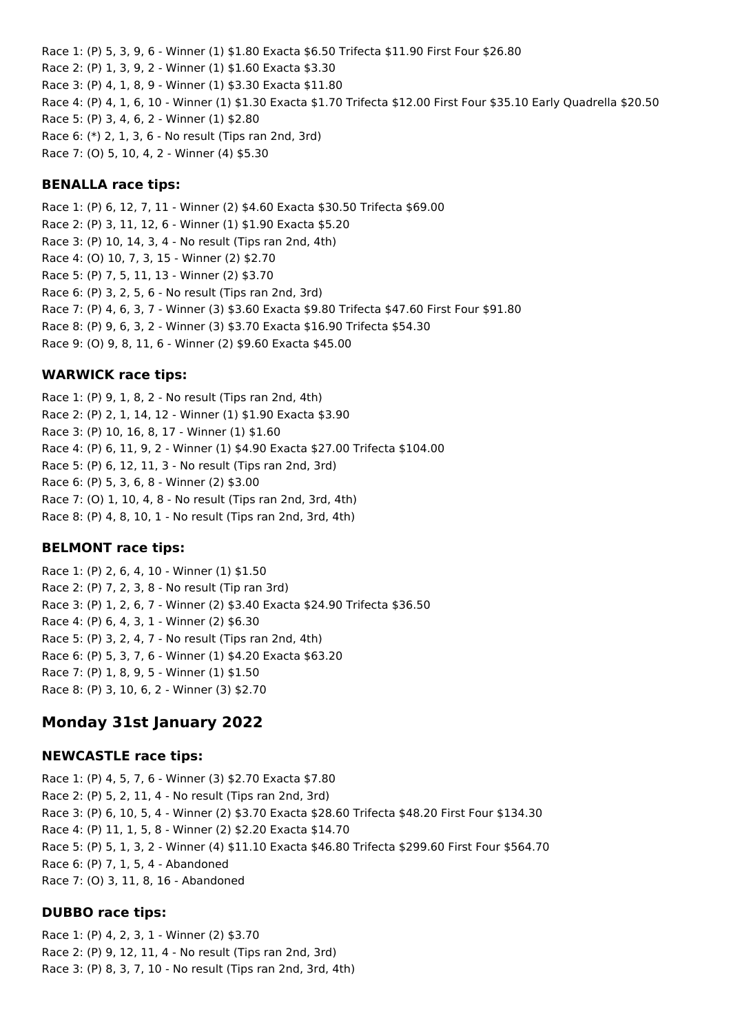Race 1: (P) 5, 3, 9, 6 - Winner (1) \$1.80 Exacta \$6.50 Trifecta \$11.90 First Four \$26.80 Race 2: (P) 1, 3, 9, 2 - Winner (1) \$1.60 Exacta \$3.30 Race 3: (P) 4, 1, 8, 9 - Winner (1) \$3.30 Exacta \$11.80 Race 4: (P) 4, 1, 6, 10 - Winner (1) \$1.30 Exacta \$1.70 Trifecta \$12.00 First Four \$35.10 Early Quadrella \$20.50 Race 5: (P) 3, 4, 6, 2 - Winner (1) \$2.80 Race 6: (\*) 2, 1, 3, 6 - No result (Tips ran 2nd, 3rd) Race 7: (O) 5, 10, 4, 2 - Winner (4) \$5.30

#### **BENALLA race tips:**

Race 1: (P) 6, 12, 7, 11 - Winner (2) \$4.60 Exacta \$30.50 Trifecta \$69.00 Race 2: (P) 3, 11, 12, 6 - Winner (1) \$1.90 Exacta \$5.20 Race 3: (P) 10, 14, 3, 4 - No result (Tips ran 2nd, 4th) Race 4: (O) 10, 7, 3, 15 - Winner (2) \$2.70 Race 5: (P) 7, 5, 11, 13 - Winner (2) \$3.70 Race 6: (P) 3, 2, 5, 6 - No result (Tips ran 2nd, 3rd) Race 7: (P) 4, 6, 3, 7 - Winner (3) \$3.60 Exacta \$9.80 Trifecta \$47.60 First Four \$91.80 Race 8: (P) 9, 6, 3, 2 - Winner (3) \$3.70 Exacta \$16.90 Trifecta \$54.30 Race 9: (O) 9, 8, 11, 6 - Winner (2) \$9.60 Exacta \$45.00

#### **WARWICK race tips:**

Race 1: (P) 9, 1, 8, 2 - No result (Tips ran 2nd, 4th) Race 2: (P) 2, 1, 14, 12 - Winner (1) \$1.90 Exacta \$3.90 Race 3: (P) 10, 16, 8, 17 - Winner (1) \$1.60 Race 4: (P) 6, 11, 9, 2 - Winner (1) \$4.90 Exacta \$27.00 Trifecta \$104.00 Race 5: (P) 6, 12, 11, 3 - No result (Tips ran 2nd, 3rd) Race 6: (P) 5, 3, 6, 8 - Winner (2) \$3.00 Race 7: (O) 1, 10, 4, 8 - No result (Tips ran 2nd, 3rd, 4th) Race 8: (P) 4, 8, 10, 1 - No result (Tips ran 2nd, 3rd, 4th)

#### **BELMONT race tips:**

Race 1: (P) 2, 6, 4, 10 - Winner (1) \$1.50 Race 2: (P) 7, 2, 3, 8 - No result (Tip ran 3rd) Race 3: (P) 1, 2, 6, 7 - Winner (2) \$3.40 Exacta \$24.90 Trifecta \$36.50 Race 4: (P) 6, 4, 3, 1 - Winner (2) \$6.30 Race 5: (P) 3, 2, 4, 7 - No result (Tips ran 2nd, 4th) Race 6: (P) 5, 3, 7, 6 - Winner (1) \$4.20 Exacta \$63.20 Race 7: (P) 1, 8, 9, 5 - Winner (1) \$1.50 Race 8: (P) 3, 10, 6, 2 - Winner (3) \$2.70

# **Monday 31st January 2022**

#### **NEWCASTLE race tips:**

Race 1: (P) 4, 5, 7, 6 - Winner (3) \$2.70 Exacta \$7.80 Race 2: (P) 5, 2, 11, 4 - No result (Tips ran 2nd, 3rd) Race 3: (P) 6, 10, 5, 4 - Winner (2) \$3.70 Exacta \$28.60 Trifecta \$48.20 First Four \$134.30 Race 4: (P) 11, 1, 5, 8 - Winner (2) \$2.20 Exacta \$14.70 Race 5: (P) 5, 1, 3, 2 - Winner (4) \$11.10 Exacta \$46.80 Trifecta \$299.60 First Four \$564.70 Race 6: (P) 7, 1, 5, 4 - Abandoned Race 7: (O) 3, 11, 8, 16 - Abandoned

#### **DUBBO race tips:**

Race 1: (P) 4, 2, 3, 1 - Winner (2) \$3.70 Race 2: (P) 9, 12, 11, 4 - No result (Tips ran 2nd, 3rd) Race 3: (P) 8, 3, 7, 10 - No result (Tips ran 2nd, 3rd, 4th)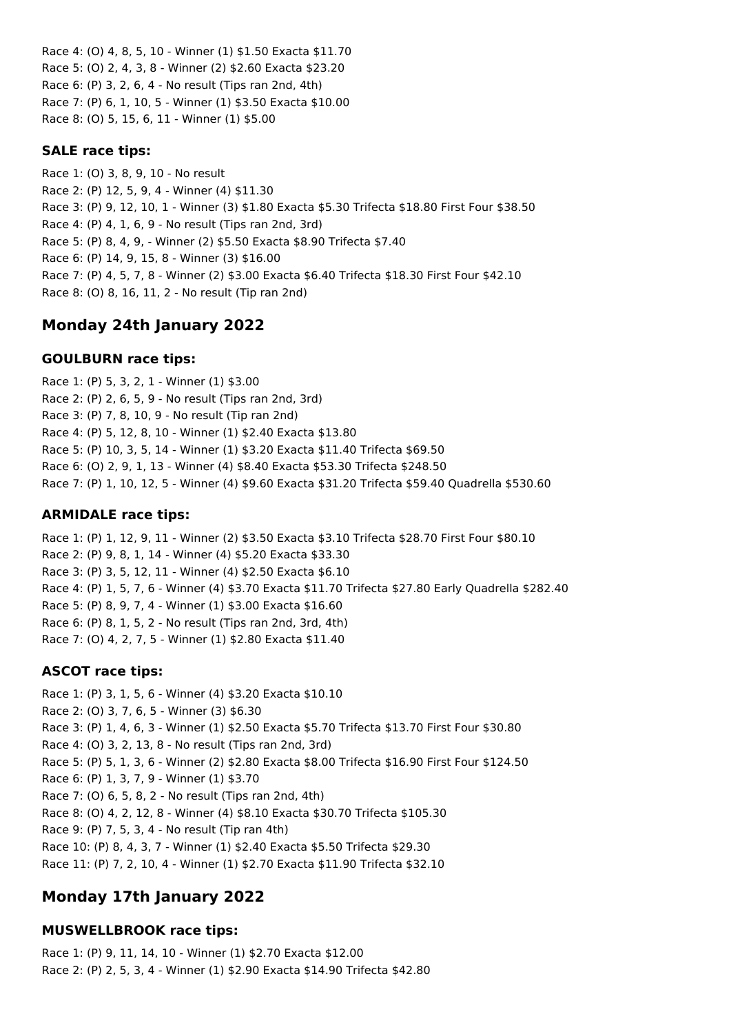Race 4: (O) 4, 8, 5, 10 - Winner (1) \$1.50 Exacta \$11.70 Race 5: (O) 2, 4, 3, 8 - Winner (2) \$2.60 Exacta \$23.20 Race 6: (P) 3, 2, 6, 4 - No result (Tips ran 2nd, 4th) Race 7: (P) 6, 1, 10, 5 - Winner (1) \$3.50 Exacta \$10.00 Race 8: (O) 5, 15, 6, 11 - Winner (1) \$5.00

# **SALE race tips:**

Race 1: (O) 3, 8, 9, 10 - No result Race 2: (P) 12, 5, 9, 4 - Winner (4) \$11.30 Race 3: (P) 9, 12, 10, 1 - Winner (3) \$1.80 Exacta \$5.30 Trifecta \$18.80 First Four \$38.50 Race 4: (P) 4, 1, 6, 9 - No result (Tips ran 2nd, 3rd) Race 5: (P) 8, 4, 9, - Winner (2) \$5.50 Exacta \$8.90 Trifecta \$7.40 Race 6: (P) 14, 9, 15, 8 - Winner (3) \$16.00 Race 7: (P) 4, 5, 7, 8 - Winner (2) \$3.00 Exacta \$6.40 Trifecta \$18.30 First Four \$42.10 Race 8: (O) 8, 16, 11, 2 - No result (Tip ran 2nd)

# **Monday 24th January 2022**

# **GOULBURN race tips:**

Race 1: (P) 5, 3, 2, 1 - Winner (1) \$3.00 Race 2: (P) 2, 6, 5, 9 - No result (Tips ran 2nd, 3rd) Race 3: (P) 7, 8, 10, 9 - No result (Tip ran 2nd) Race 4: (P) 5, 12, 8, 10 - Winner (1) \$2.40 Exacta \$13.80 Race 5: (P) 10, 3, 5, 14 - Winner (1) \$3.20 Exacta \$11.40 Trifecta \$69.50 Race 6: (O) 2, 9, 1, 13 - Winner (4) \$8.40 Exacta \$53.30 Trifecta \$248.50 Race 7: (P) 1, 10, 12, 5 - Winner (4) \$9.60 Exacta \$31.20 Trifecta \$59.40 Quadrella \$530.60

### **ARMIDALE race tips:**

Race 1: (P) 1, 12, 9, 11 - Winner (2) \$3.50 Exacta \$3.10 Trifecta \$28.70 First Four \$80.10 Race 2: (P) 9, 8, 1, 14 - Winner (4) \$5.20 Exacta \$33.30 Race 3: (P) 3, 5, 12, 11 - Winner (4) \$2.50 Exacta \$6.10 Race 4: (P) 1, 5, 7, 6 - Winner (4) \$3.70 Exacta \$11.70 Trifecta \$27.80 Early Quadrella \$282.40 Race 5: (P) 8, 9, 7, 4 - Winner (1) \$3.00 Exacta \$16.60 Race 6: (P) 8, 1, 5, 2 - No result (Tips ran 2nd, 3rd, 4th) Race 7: (O) 4, 2, 7, 5 - Winner (1) \$2.80 Exacta \$11.40

# **ASCOT race tips:**

Race 1: (P) 3, 1, 5, 6 - Winner (4) \$3.20 Exacta \$10.10 Race 2: (O) 3, 7, 6, 5 - Winner (3) \$6.30 Race 3: (P) 1, 4, 6, 3 - Winner (1) \$2.50 Exacta \$5.70 Trifecta \$13.70 First Four \$30.80 Race 4: (O) 3, 2, 13, 8 - No result (Tips ran 2nd, 3rd) Race 5: (P) 5, 1, 3, 6 - Winner (2) \$2.80 Exacta \$8.00 Trifecta \$16.90 First Four \$124.50 Race 6: (P) 1, 3, 7, 9 - Winner (1) \$3.70 Race 7: (O) 6, 5, 8, 2 - No result (Tips ran 2nd, 4th) Race 8: (O) 4, 2, 12, 8 - Winner (4) \$8.10 Exacta \$30.70 Trifecta \$105.30 Race 9: (P) 7, 5, 3, 4 - No result (Tip ran 4th) Race 10: (P) 8, 4, 3, 7 - Winner (1) \$2.40 Exacta \$5.50 Trifecta \$29.30 Race 11: (P) 7, 2, 10, 4 - Winner (1) \$2.70 Exacta \$11.90 Trifecta \$32.10

# **Monday 17th January 2022**

# **MUSWELLBROOK race tips:**

Race 1: (P) 9, 11, 14, 10 - Winner (1) \$2.70 Exacta \$12.00 Race 2: (P) 2, 5, 3, 4 - Winner (1) \$2.90 Exacta \$14.90 Trifecta \$42.80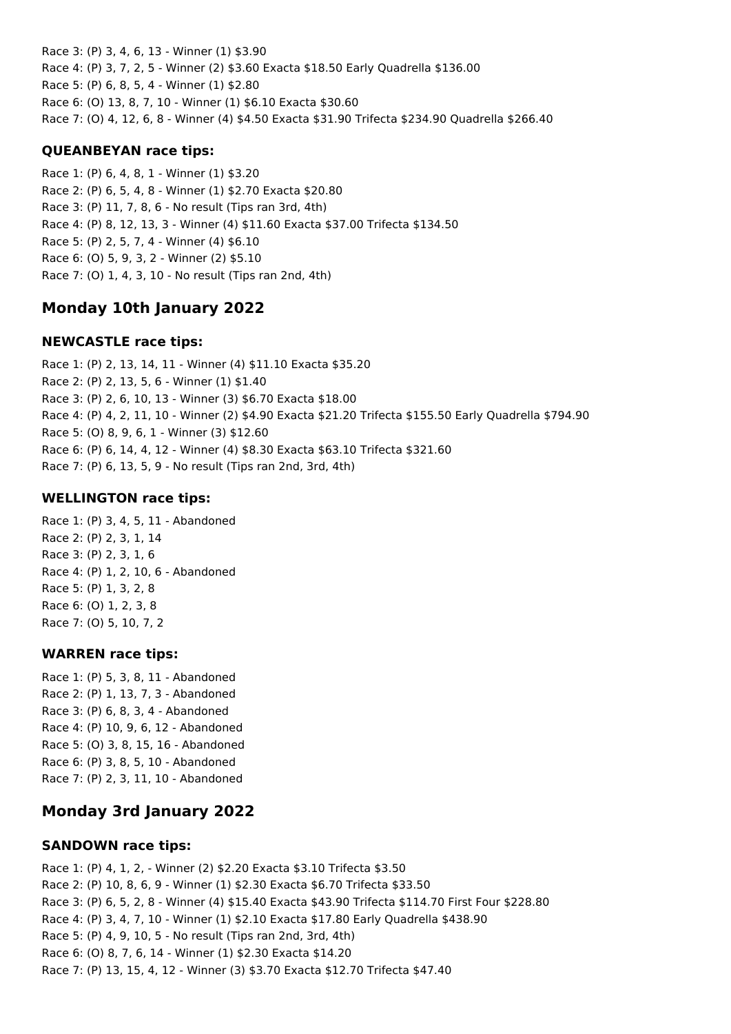Race 3: (P) 3, 4, 6, 13 - Winner (1) \$3.90 Race 4: (P) 3, 7, 2, 5 - Winner (2) \$3.60 Exacta \$18.50 Early Quadrella \$136.00 Race 5: (P) 6, 8, 5, 4 - Winner (1) \$2.80 Race 6: (O) 13, 8, 7, 10 - Winner (1) \$6.10 Exacta \$30.60 Race 7: (O) 4, 12, 6, 8 - Winner (4) \$4.50 Exacta \$31.90 Trifecta \$234.90 Quadrella \$266.40

# **QUEANBEYAN race tips:**

Race 1: (P) 6, 4, 8, 1 - Winner (1) \$3.20 Race 2: (P) 6, 5, 4, 8 - Winner (1) \$2.70 Exacta \$20.80 Race 3: (P) 11, 7, 8, 6 - No result (Tips ran 3rd, 4th) Race 4: (P) 8, 12, 13, 3 - Winner (4) \$11.60 Exacta \$37.00 Trifecta \$134.50 Race 5: (P) 2, 5, 7, 4 - Winner (4) \$6.10 Race 6: (O) 5, 9, 3, 2 - Winner (2) \$5.10 Race 7: (O) 1, 4, 3, 10 - No result (Tips ran 2nd, 4th)

# **Monday 10th January 2022**

# **NEWCASTLE race tips:**

Race 1: (P) 2, 13, 14, 11 - Winner (4) \$11.10 Exacta \$35.20 Race 2: (P) 2, 13, 5, 6 - Winner (1) \$1.40 Race 3: (P) 2, 6, 10, 13 - Winner (3) \$6.70 Exacta \$18.00 Race 4: (P) 4, 2, 11, 10 - Winner (2) \$4.90 Exacta \$21.20 Trifecta \$155.50 Early Quadrella \$794.90 Race 5: (O) 8, 9, 6, 1 - Winner (3) \$12.60 Race 6: (P) 6, 14, 4, 12 - Winner (4) \$8.30 Exacta \$63.10 Trifecta \$321.60 Race 7: (P) 6, 13, 5, 9 - No result (Tips ran 2nd, 3rd, 4th)

# **WELLINGTON race tips:**

Race 1: (P) 3, 4, 5, 11 - Abandoned Race 2: (P) 2, 3, 1, 14 Race 3: (P) 2, 3, 1, 6 Race 4: (P) 1, 2, 10, 6 - Abandoned Race 5: (P) 1, 3, 2, 8 Race 6: (O) 1, 2, 3, 8 Race 7: (O) 5, 10, 7, 2

# **WARREN race tips:**

Race 1: (P) 5, 3, 8, 11 - Abandoned Race 2: (P) 1, 13, 7, 3 - Abandoned Race 3: (P) 6, 8, 3, 4 - Abandoned Race 4: (P) 10, 9, 6, 12 - Abandoned Race 5: (O) 3, 8, 15, 16 - Abandoned Race 6: (P) 3, 8, 5, 10 - Abandoned Race 7: (P) 2, 3, 11, 10 - Abandoned

# **Monday 3rd January 2022**

# **SANDOWN race tips:**

Race 1: (P) 4, 1, 2, - Winner (2) \$2.20 Exacta \$3.10 Trifecta \$3.50 Race 2: (P) 10, 8, 6, 9 - Winner (1) \$2.30 Exacta \$6.70 Trifecta \$33.50 Race 3: (P) 6, 5, 2, 8 - Winner (4) \$15.40 Exacta \$43.90 Trifecta \$114.70 First Four \$228.80 Race 4: (P) 3, 4, 7, 10 - Winner (1) \$2.10 Exacta \$17.80 Early Quadrella \$438.90 Race 5: (P) 4, 9, 10, 5 - No result (Tips ran 2nd, 3rd, 4th) Race 6: (O) 8, 7, 6, 14 - Winner (1) \$2.30 Exacta \$14.20 Race 7: (P) 13, 15, 4, 12 - Winner (3) \$3.70 Exacta \$12.70 Trifecta \$47.40